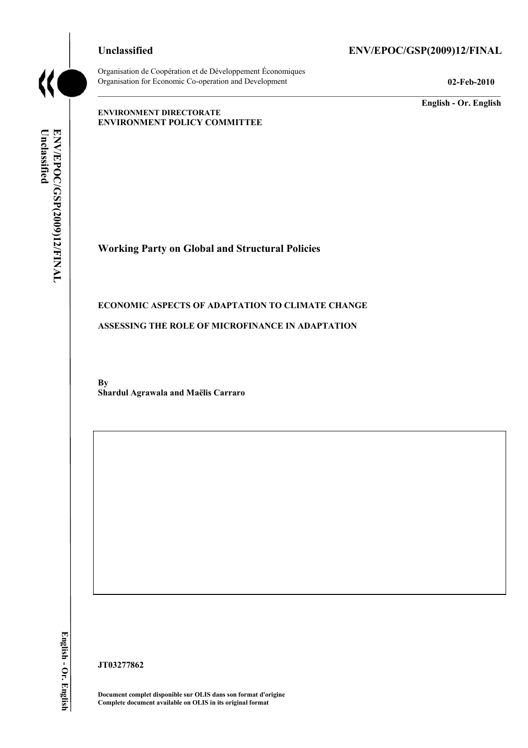



Organisation de Coopération et de Développement Économiques Organisation for Economic Co-operation and Development **02-Feb-2010** 

**English - Or. English** 

## **ENVIRONMENT DIRECTORATE ENVIRONMENT POLICY COMMITTEE**

Unclassified ENV/EPOC/GSP(2009)12/FINAL **Unclassified ENV/EPOC/GSP(2009)12/FINAL English - Or. English**

# **Working Party on Global and Structural Policies**

# **ECONOMIC ASPECTS OF ADAPTATION TO CLIMATE CHANGE**

**ASSESSING THE ROLE OF MICROFINANCE IN ADAPTATION** 

**By Shardul Agrawala and Maëlis Carraro** 

English - Or. English

**JT03277862** 

**Document complet disponible sur OLIS dans son format d'origine Complete document available on OLIS in its original format**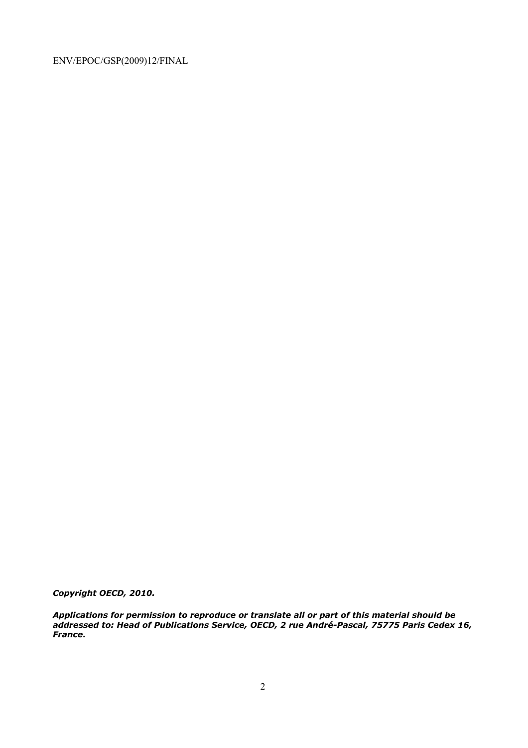*Copyright OECD, 2010.*

*Applications for permission to reproduce or translate all or part of this material should be addressed to: Head of Publications Service, OECD, 2 rue André-Pascal, 75775 Paris Cedex 16, France.*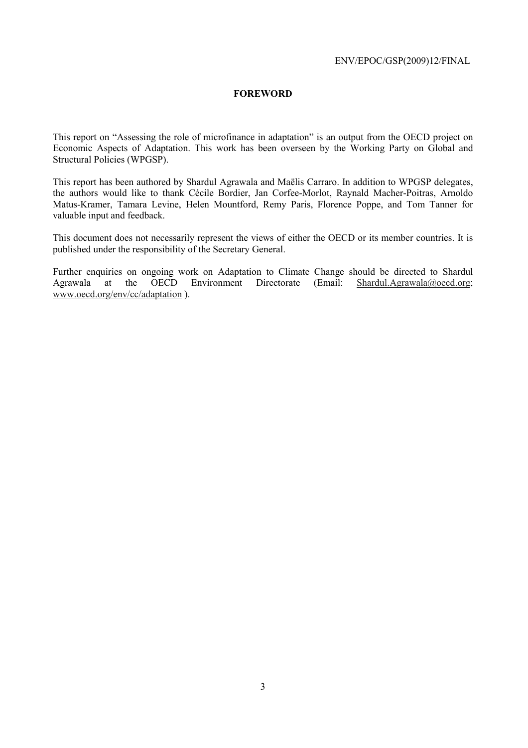# **FOREWORD**

This report on "Assessing the role of microfinance in adaptation" is an output from the OECD project on Economic Aspects of Adaptation. This work has been overseen by the Working Party on Global and Structural Policies (WPGSP).

This report has been authored by Shardul Agrawala and Maëlis Carraro. In addition to WPGSP delegates, the authors would like to thank Cécile Bordier, Jan Corfee-Morlot, Raynald Macher-Poitras, Arnoldo Matus-Kramer, Tamara Levine, Helen Mountford, Remy Paris, Florence Poppe, and Tom Tanner for valuable input and feedback.

This document does not necessarily represent the views of either the OECD or its member countries. It is published under the responsibility of the Secretary General.

Further enquiries on ongoing work on Adaptation to Climate Change should be directed to Shardul Agrawala at the OECD Environment Directorate (Email: Shardul.Agrawala@oecd.org; www.oecd.org/env/cc/adaptation ).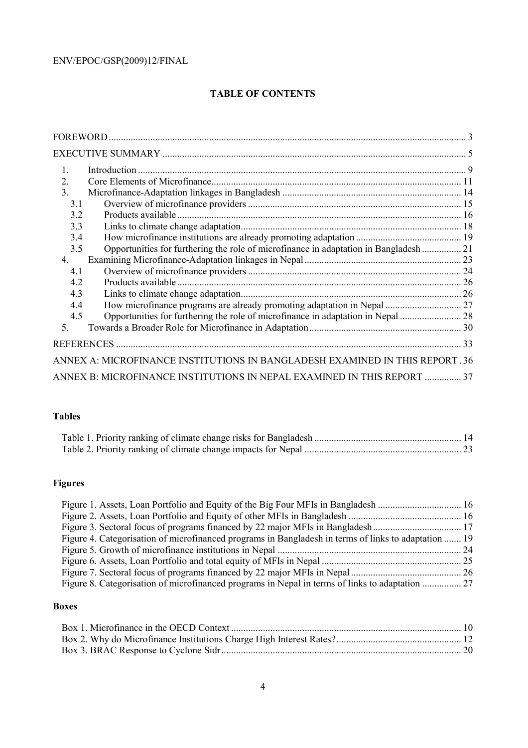# **TABLE OF CONTENTS**

| $\mathbf{1}$  |                                                                                       |  |
|---------------|---------------------------------------------------------------------------------------|--|
| 2.            |                                                                                       |  |
| $\mathcal{E}$ |                                                                                       |  |
| 3.1           |                                                                                       |  |
| 3.2           |                                                                                       |  |
| 3.3           |                                                                                       |  |
| 3.4           |                                                                                       |  |
| 3.5           | Opportunities for furthering the role of microfinance in adaptation in Bangladesh  21 |  |
| $4_{\cdot}$   |                                                                                       |  |
| 4.1           |                                                                                       |  |
| 4.2           |                                                                                       |  |
| 4.3           |                                                                                       |  |
| 4.4           |                                                                                       |  |
| 4.5           | Opportunities for furthering the role of microfinance in adaptation in Nepal 28       |  |
| 5             |                                                                                       |  |
|               |                                                                                       |  |
|               | ANNEX A: MICROFINANCE INSTITUTIONS IN BANGLADESH EXAMINED IN THIS REPORT . 36         |  |
|               | ANNEX B: MICROFINANCE INSTITUTIONS IN NEPAL EXAMINED IN THIS REPORT  37               |  |

# **Tables**

# **Figures**

| Figure 4. Categorisation of microfinanced programs in Bangladesh in terms of links to adaptation  19 |  |
|------------------------------------------------------------------------------------------------------|--|
|                                                                                                      |  |
|                                                                                                      |  |
|                                                                                                      |  |
|                                                                                                      |  |

# **Boxes**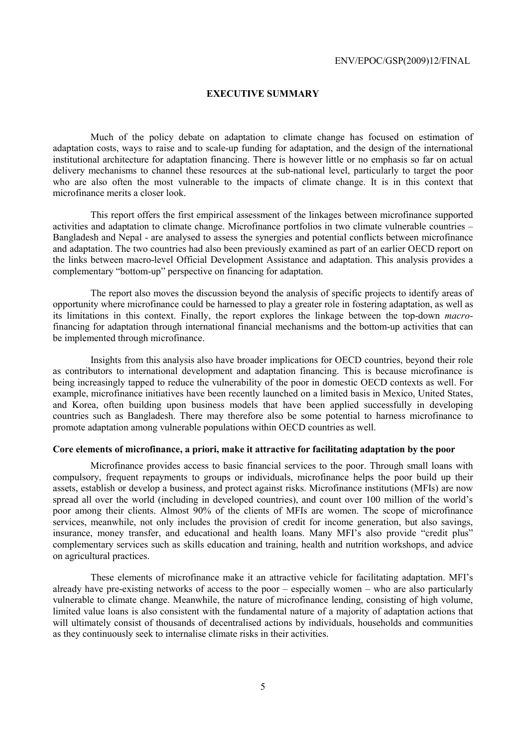# **EXECUTIVE SUMMARY**

Much of the policy debate on adaptation to climate change has focused on estimation of adaptation costs, ways to raise and to scale-up funding for adaptation, and the design of the international institutional architecture for adaptation financing. There is however little or no emphasis so far on actual delivery mechanisms to channel these resources at the sub-national level, particularly to target the poor who are also often the most vulnerable to the impacts of climate change. It is in this context that microfinance merits a closer look.

This report offers the first empirical assessment of the linkages between microfinance supported activities and adaptation to climate change. Microfinance portfolios in two climate vulnerable countries – Bangladesh and Nepal - are analysed to assess the synergies and potential conflicts between microfinance and adaptation. The two countries had also been previously examined as part of an earlier OECD report on the links between macro-level Official Development Assistance and adaptation. This analysis provides a complementary "bottom-up" perspective on financing for adaptation.

The report also moves the discussion beyond the analysis of specific projects to identify areas of opportunity where microfinance could be harnessed to play a greater role in fostering adaptation, as well as its limitations in this context. Finally, the report explores the linkage between the top-down *macro*financing for adaptation through international financial mechanisms and the bottom-up activities that can be implemented through microfinance.

Insights from this analysis also have broader implications for OECD countries, beyond their role as contributors to international development and adaptation financing. This is because microfinance is being increasingly tapped to reduce the vulnerability of the poor in domestic OECD contexts as well. For example, microfinance initiatives have been recently launched on a limited basis in Mexico, United States, and Korea, often building upon business models that have been applied successfully in developing countries such as Bangladesh. There may therefore also be some potential to harness microfinance to promote adaptation among vulnerable populations within OECD countries as well.

#### **Core elements of microfinance, a priori, make it attractive for facilitating adaptation by the poor**

Microfinance provides access to basic financial services to the poor. Through small loans with compulsory, frequent repayments to groups or individuals, microfinance helps the poor build up their assets, establish or develop a business, and protect against risks. Microfinance institutions (MFIs) are now spread all over the world (including in developed countries), and count over 100 million of the world's poor among their clients. Almost 90% of the clients of MFIs are women. The scope of microfinance services, meanwhile, not only includes the provision of credit for income generation, but also savings, insurance, money transfer, and educational and health loans. Many MFI's also provide "credit plus" complementary services such as skills education and training, health and nutrition workshops, and advice on agricultural practices.

These elements of microfinance make it an attractive vehicle for facilitating adaptation. MFI's already have pre-existing networks of access to the poor – especially women – who are also particularly vulnerable to climate change. Meanwhile, the nature of microfinance lending, consisting of high volume, limited value loans is also consistent with the fundamental nature of a majority of adaptation actions that will ultimately consist of thousands of decentralised actions by individuals, households and communities as they continuously seek to internalise climate risks in their activities.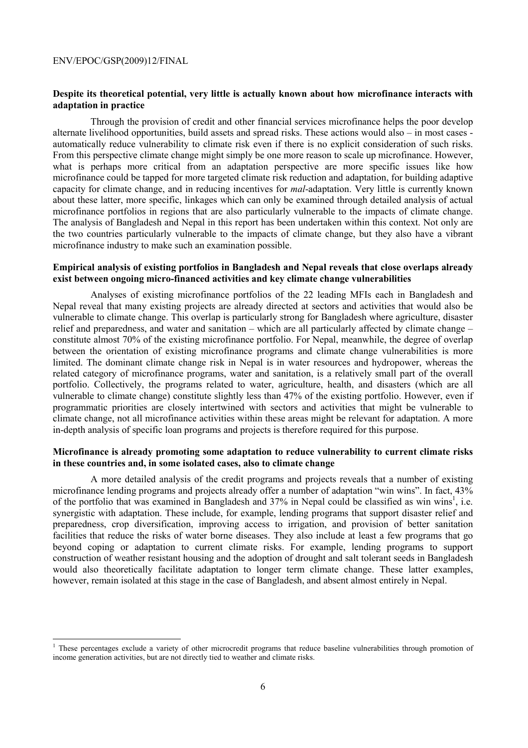# **Despite its theoretical potential, very little is actually known about how microfinance interacts with adaptation in practice**

Through the provision of credit and other financial services microfinance helps the poor develop alternate livelihood opportunities, build assets and spread risks. These actions would also – in most cases automatically reduce vulnerability to climate risk even if there is no explicit consideration of such risks. From this perspective climate change might simply be one more reason to scale up microfinance. However, what is perhaps more critical from an adaptation perspective are more specific issues like how microfinance could be tapped for more targeted climate risk reduction and adaptation, for building adaptive capacity for climate change, and in reducing incentives for *mal*-adaptation. Very little is currently known about these latter, more specific, linkages which can only be examined through detailed analysis of actual microfinance portfolios in regions that are also particularly vulnerable to the impacts of climate change. The analysis of Bangladesh and Nepal in this report has been undertaken within this context. Not only are the two countries particularly vulnerable to the impacts of climate change, but they also have a vibrant microfinance industry to make such an examination possible.

# **Empirical analysis of existing portfolios in Bangladesh and Nepal reveals that close overlaps already exist between ongoing micro-financed activities and key climate change vulnerabilities**

Analyses of existing microfinance portfolios of the 22 leading MFIs each in Bangladesh and Nepal reveal that many existing projects are already directed at sectors and activities that would also be vulnerable to climate change. This overlap is particularly strong for Bangladesh where agriculture, disaster relief and preparedness, and water and sanitation – which are all particularly affected by climate change – constitute almost 70% of the existing microfinance portfolio. For Nepal, meanwhile, the degree of overlap between the orientation of existing microfinance programs and climate change vulnerabilities is more limited. The dominant climate change risk in Nepal is in water resources and hydropower, whereas the related category of microfinance programs, water and sanitation, is a relatively small part of the overall portfolio. Collectively, the programs related to water, agriculture, health, and disasters (which are all vulnerable to climate change) constitute slightly less than 47% of the existing portfolio. However, even if programmatic priorities are closely intertwined with sectors and activities that might be vulnerable to climate change, not all microfinance activities within these areas might be relevant for adaptation. A more in-depth analysis of specific loan programs and projects is therefore required for this purpose.

# **Microfinance is already promoting some adaptation to reduce vulnerability to current climate risks in these countries and, in some isolated cases, also to climate change**

A more detailed analysis of the credit programs and projects reveals that a number of existing microfinance lending programs and projects already offer a number of adaptation "win wins". In fact, 43% of the portfolio that was examined in Bangladesh and 37% in Nepal could be classified as win wins<sup>1</sup>, i.e. synergistic with adaptation. These include, for example, lending programs that support disaster relief and preparedness, crop diversification, improving access to irrigation, and provision of better sanitation facilities that reduce the risks of water borne diseases. They also include at least a few programs that go beyond coping or adaptation to current climate risks. For example, lending programs to support construction of weather resistant housing and the adoption of drought and salt tolerant seeds in Bangladesh would also theoretically facilitate adaptation to longer term climate change. These latter examples, however, remain isolated at this stage in the case of Bangladesh, and absent almost entirely in Nepal.

<sup>&</sup>lt;sup>1</sup> These percentages exclude a variety of other microcredit programs that reduce baseline vulnerabilities through promotion of income generation activities, but are not directly tied to weather and climate risks.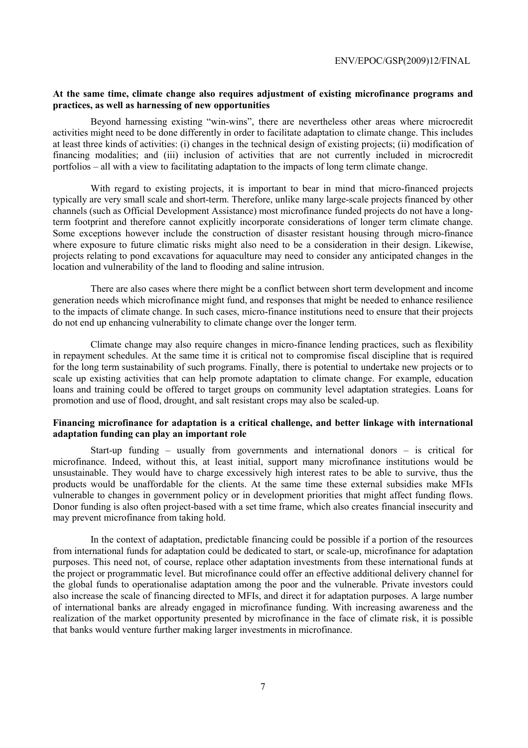# **At the same time, climate change also requires adjustment of existing microfinance programs and practices, as well as harnessing of new opportunities**

Beyond harnessing existing "win-wins", there are nevertheless other areas where microcredit activities might need to be done differently in order to facilitate adaptation to climate change. This includes at least three kinds of activities: (i) changes in the technical design of existing projects; (ii) modification of financing modalities; and (iii) inclusion of activities that are not currently included in microcredit portfolios – all with a view to facilitating adaptation to the impacts of long term climate change.

With regard to existing projects, it is important to bear in mind that micro-financed projects typically are very small scale and short-term. Therefore, unlike many large-scale projects financed by other channels (such as Official Development Assistance) most microfinance funded projects do not have a longterm footprint and therefore cannot explicitly incorporate considerations of longer term climate change. Some exceptions however include the construction of disaster resistant housing through micro-finance where exposure to future climatic risks might also need to be a consideration in their design. Likewise, projects relating to pond excavations for aquaculture may need to consider any anticipated changes in the location and vulnerability of the land to flooding and saline intrusion.

There are also cases where there might be a conflict between short term development and income generation needs which microfinance might fund, and responses that might be needed to enhance resilience to the impacts of climate change. In such cases, micro-finance institutions need to ensure that their projects do not end up enhancing vulnerability to climate change over the longer term.

Climate change may also require changes in micro-finance lending practices, such as flexibility in repayment schedules. At the same time it is critical not to compromise fiscal discipline that is required for the long term sustainability of such programs. Finally, there is potential to undertake new projects or to scale up existing activities that can help promote adaptation to climate change. For example, education loans and training could be offered to target groups on community level adaptation strategies. Loans for promotion and use of flood, drought, and salt resistant crops may also be scaled-up.

# **Financing microfinance for adaptation is a critical challenge, and better linkage with international adaptation funding can play an important role**

Start-up funding – usually from governments and international donors – is critical for microfinance. Indeed, without this, at least initial, support many microfinance institutions would be unsustainable. They would have to charge excessively high interest rates to be able to survive, thus the products would be unaffordable for the clients. At the same time these external subsidies make MFIs vulnerable to changes in government policy or in development priorities that might affect funding flows. Donor funding is also often project-based with a set time frame, which also creates financial insecurity and may prevent microfinance from taking hold.

In the context of adaptation, predictable financing could be possible if a portion of the resources from international funds for adaptation could be dedicated to start, or scale-up, microfinance for adaptation purposes. This need not, of course, replace other adaptation investments from these international funds at the project or programmatic level. But microfinance could offer an effective additional delivery channel for the global funds to operationalise adaptation among the poor and the vulnerable. Private investors could also increase the scale of financing directed to MFIs, and direct it for adaptation purposes. A large number of international banks are already engaged in microfinance funding. With increasing awareness and the realization of the market opportunity presented by microfinance in the face of climate risk, it is possible that banks would venture further making larger investments in microfinance.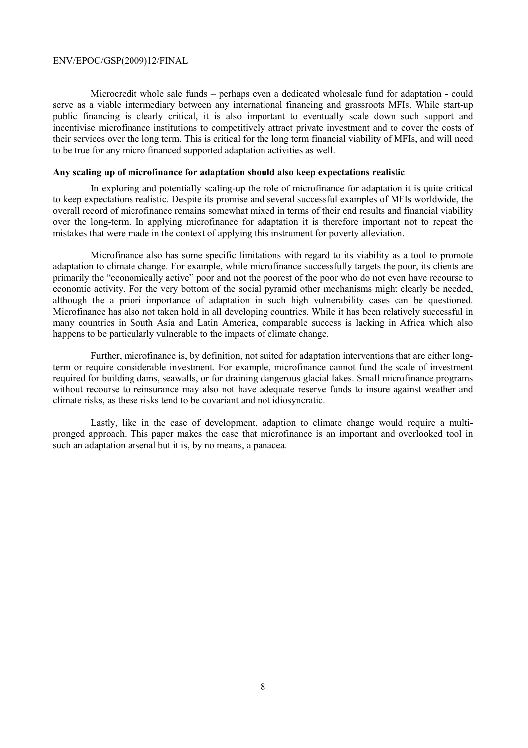Microcredit whole sale funds – perhaps even a dedicated wholesale fund for adaptation - could serve as a viable intermediary between any international financing and grassroots MFIs. While start-up public financing is clearly critical, it is also important to eventually scale down such support and incentivise microfinance institutions to competitively attract private investment and to cover the costs of their services over the long term. This is critical for the long term financial viability of MFIs, and will need to be true for any micro financed supported adaptation activities as well.

# **Any scaling up of microfinance for adaptation should also keep expectations realistic**

In exploring and potentially scaling-up the role of microfinance for adaptation it is quite critical to keep expectations realistic. Despite its promise and several successful examples of MFIs worldwide, the overall record of microfinance remains somewhat mixed in terms of their end results and financial viability over the long-term. In applying microfinance for adaptation it is therefore important not to repeat the mistakes that were made in the context of applying this instrument for poverty alleviation.

Microfinance also has some specific limitations with regard to its viability as a tool to promote adaptation to climate change. For example, while microfinance successfully targets the poor, its clients are primarily the "economically active" poor and not the poorest of the poor who do not even have recourse to economic activity. For the very bottom of the social pyramid other mechanisms might clearly be needed, although the a priori importance of adaptation in such high vulnerability cases can be questioned. Microfinance has also not taken hold in all developing countries. While it has been relatively successful in many countries in South Asia and Latin America, comparable success is lacking in Africa which also happens to be particularly vulnerable to the impacts of climate change.

Further, microfinance is, by definition, not suited for adaptation interventions that are either longterm or require considerable investment. For example, microfinance cannot fund the scale of investment required for building dams, seawalls, or for draining dangerous glacial lakes. Small microfinance programs without recourse to reinsurance may also not have adequate reserve funds to insure against weather and climate risks, as these risks tend to be covariant and not idiosyncratic.

Lastly, like in the case of development, adaption to climate change would require a multipronged approach. This paper makes the case that microfinance is an important and overlooked tool in such an adaptation arsenal but it is, by no means, a panacea.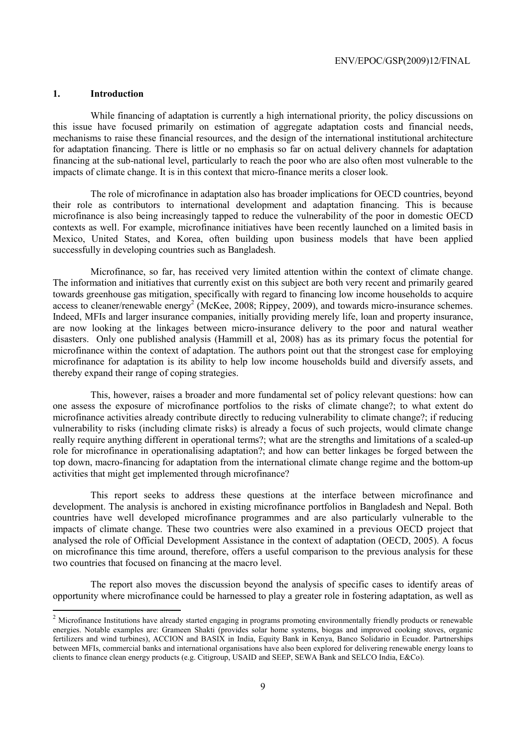# **1. Introduction**

 $\overline{a}$ 

While financing of adaptation is currently a high international priority, the policy discussions on this issue have focused primarily on estimation of aggregate adaptation costs and financial needs, mechanisms to raise these financial resources, and the design of the international institutional architecture for adaptation financing. There is little or no emphasis so far on actual delivery channels for adaptation financing at the sub-national level, particularly to reach the poor who are also often most vulnerable to the impacts of climate change. It is in this context that micro-finance merits a closer look.

The role of microfinance in adaptation also has broader implications for OECD countries, beyond their role as contributors to international development and adaptation financing. This is because microfinance is also being increasingly tapped to reduce the vulnerability of the poor in domestic OECD contexts as well. For example, microfinance initiatives have been recently launched on a limited basis in Mexico, United States, and Korea, often building upon business models that have been applied successfully in developing countries such as Bangladesh.

Microfinance, so far, has received very limited attention within the context of climate change. The information and initiatives that currently exist on this subject are both very recent and primarily geared towards greenhouse gas mitigation, specifically with regard to financing low income households to acquire access to cleaner/renewable energy<sup>2</sup> (McKee, 2008; Rippey, 2009), and towards micro-insurance schemes. Indeed, MFIs and larger insurance companies, initially providing merely life, loan and property insurance, are now looking at the linkages between micro-insurance delivery to the poor and natural weather disasters. Only one published analysis (Hammill et al, 2008) has as its primary focus the potential for microfinance within the context of adaptation. The authors point out that the strongest case for employing microfinance for adaptation is its ability to help low income households build and diversify assets, and thereby expand their range of coping strategies.

This, however, raises a broader and more fundamental set of policy relevant questions: how can one assess the exposure of microfinance portfolios to the risks of climate change?; to what extent do microfinance activities already contribute directly to reducing vulnerability to climate change?; if reducing vulnerability to risks (including climate risks) is already a focus of such projects, would climate change really require anything different in operational terms?; what are the strengths and limitations of a scaled-up role for microfinance in operationalising adaptation?; and how can better linkages be forged between the top down, macro-financing for adaptation from the international climate change regime and the bottom-up activities that might get implemented through microfinance?

This report seeks to address these questions at the interface between microfinance and development. The analysis is anchored in existing microfinance portfolios in Bangladesh and Nepal. Both countries have well developed microfinance programmes and are also particularly vulnerable to the impacts of climate change. These two countries were also examined in a previous OECD project that analysed the role of Official Development Assistance in the context of adaptation (OECD, 2005). A focus on microfinance this time around, therefore, offers a useful comparison to the previous analysis for these two countries that focused on financing at the macro level.

The report also moves the discussion beyond the analysis of specific cases to identify areas of opportunity where microfinance could be harnessed to play a greater role in fostering adaptation, as well as

 $2$  Microfinance Institutions have already started engaging in programs promoting environmentally friendly products or renewable energies. Notable examples are: Grameen Shakti (provides solar home systems, biogas and improved cooking stoves, organic fertilizers and wind turbines), ACCION and BASIX in India, Equity Bank in Kenya, Banco Solidario in Ecuador. Partnerships between MFIs, commercial banks and international organisations have also been explored for delivering renewable energy loans to clients to finance clean energy products (e.g. Citigroup, USAID and SEEP, SEWA Bank and SELCO India, E&Co).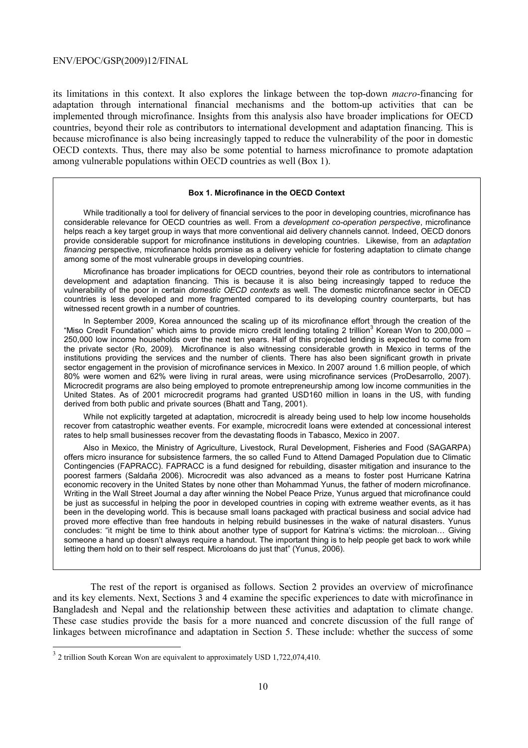its limitations in this context. It also explores the linkage between the top-down *macro*-financing for adaptation through international financial mechanisms and the bottom-up activities that can be implemented through microfinance. Insights from this analysis also have broader implications for OECD countries, beyond their role as contributors to international development and adaptation financing. This is because microfinance is also being increasingly tapped to reduce the vulnerability of the poor in domestic OECD contexts. Thus, there may also be some potential to harness microfinance to promote adaptation among vulnerable populations within OECD countries as well (Box 1).

#### **Box 1. Microfinance in the OECD Context**

While traditionally a tool for delivery of financial services to the poor in developing countries, microfinance has considerable relevance for OECD countries as well. From a *development co-operation perspective*, microfinance helps reach a key target group in ways that more conventional aid delivery channels cannot. Indeed, OECD donors provide considerable support for microfinance institutions in developing countries. Likewise, from an *adaptation financing* perspective, microfinance holds promise as a delivery vehicle for fostering adaptation to climate change among some of the most vulnerable groups in developing countries.

Microfinance has broader implications for OECD countries, beyond their role as contributors to international development and adaptation financing. This is because it is also being increasingly tapped to reduce the vulnerability of the poor in certain *domestic OECD contexts* as well. The domestic microfinance sector in OECD countries is less developed and more fragmented compared to its developing country counterparts, but has witnessed recent growth in a number of countries.

In September 2009, Korea announced the scaling up of its microfinance effort through the creation of the "Miso Credit Foundation" which aims to provide micro credit lending totaling 2 trillion<sup>3</sup> Korean Won to 200,000 -250,000 low income households over the next ten years. Half of this projected lending is expected to come from the private sector (Ro, 2009). Microfinance is also witnessing considerable growth in Mexico in terms of the institutions providing the services and the number of clients. There has also been significant growth in private sector engagement in the provision of microfinance services in Mexico. In 2007 around 1.6 million people, of which 80% were women and 62% were living in rural areas, were using microfinance services (ProDesarrollo, 2007). Microcredit programs are also being employed to promote entrepreneurship among low income communities in the United States. As of 2001 microcredit programs had granted USD160 million in loans in the US, with funding derived from both public and private sources (Bhatt and Tang, 2001).

While not explicitly targeted at adaptation, microcredit is already being used to help low income households recover from catastrophic weather events. For example, microcredit loans were extended at concessional interest rates to help small businesses recover from the devastating floods in Tabasco, Mexico in 2007.

Also in Mexico, the Ministry of Agriculture, Livestock, Rural Development, Fisheries and Food (SAGARPA) offers micro insurance for subsistence farmers, the so called Fund to Attend Damaged Population due to Climatic Contingencies (FAPRACC). FAPRACC is a fund designed for rebuilding, disaster mitigation and insurance to the poorest farmers (Saldaña 2006). Microcredit was also advanced as a means to foster post Hurricane Katrina economic recovery in the United States by none other than Mohammad Yunus, the father of modern microfinance. Writing in the Wall Street Journal a day after winning the Nobel Peace Prize, Yunus argued that microfinance could be just as successful in helping the poor in developed countries in coping with extreme weather events, as it has been in the developing world. This is because small loans packaged with practical business and social advice had proved more effective than free handouts in helping rebuild businesses in the wake of natural disasters. Yunus concludes: "it might be time to think about another type of support for Katrina's victims: the microloan… Giving someone a hand up doesn't always require a handout. The important thing is to help people get back to work while letting them hold on to their self respect. Microloans do just that" (Yunus, 2006).

The rest of the report is organised as follows. Section 2 provides an overview of microfinance and its key elements. Next, Sections 3 and 4 examine the specific experiences to date with microfinance in Bangladesh and Nepal and the relationship between these activities and adaptation to climate change. These case studies provide the basis for a more nuanced and concrete discussion of the full range of linkages between microfinance and adaptation in Section 5. These include: whether the success of some

<sup>&</sup>lt;sup>3</sup> 2 trillion South Korean Won are equivalent to approximately USD 1,722,074,410.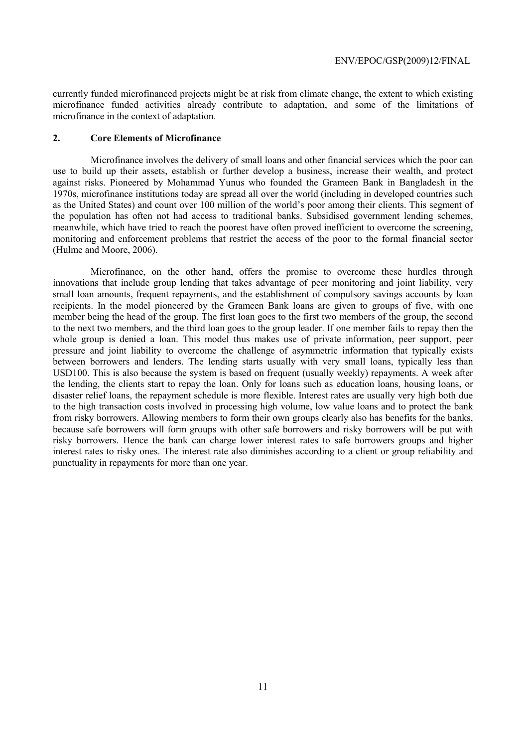currently funded microfinanced projects might be at risk from climate change, the extent to which existing microfinance funded activities already contribute to adaptation, and some of the limitations of microfinance in the context of adaptation.

# **2. Core Elements of Microfinance**

Microfinance involves the delivery of small loans and other financial services which the poor can use to build up their assets, establish or further develop a business, increase their wealth, and protect against risks. Pioneered by Mohammad Yunus who founded the Grameen Bank in Bangladesh in the 1970s, microfinance institutions today are spread all over the world (including in developed countries such as the United States) and count over 100 million of the world's poor among their clients. This segment of the population has often not had access to traditional banks. Subsidised government lending schemes, meanwhile, which have tried to reach the poorest have often proved inefficient to overcome the screening, monitoring and enforcement problems that restrict the access of the poor to the formal financial sector (Hulme and Moore, 2006).

Microfinance, on the other hand, offers the promise to overcome these hurdles through innovations that include group lending that takes advantage of peer monitoring and joint liability, very small loan amounts, frequent repayments, and the establishment of compulsory savings accounts by loan recipients. In the model pioneered by the Grameen Bank loans are given to groups of five, with one member being the head of the group. The first loan goes to the first two members of the group, the second to the next two members, and the third loan goes to the group leader. If one member fails to repay then the whole group is denied a loan. This model thus makes use of private information, peer support, peer pressure and joint liability to overcome the challenge of asymmetric information that typically exists between borrowers and lenders. The lending starts usually with very small loans, typically less than USD100. This is also because the system is based on frequent (usually weekly) repayments. A week after the lending, the clients start to repay the loan. Only for loans such as education loans, housing loans, or disaster relief loans, the repayment schedule is more flexible. Interest rates are usually very high both due to the high transaction costs involved in processing high volume, low value loans and to protect the bank from risky borrowers. Allowing members to form their own groups clearly also has benefits for the banks, because safe borrowers will form groups with other safe borrowers and risky borrowers will be put with risky borrowers. Hence the bank can charge lower interest rates to safe borrowers groups and higher interest rates to risky ones. The interest rate also diminishes according to a client or group reliability and punctuality in repayments for more than one year.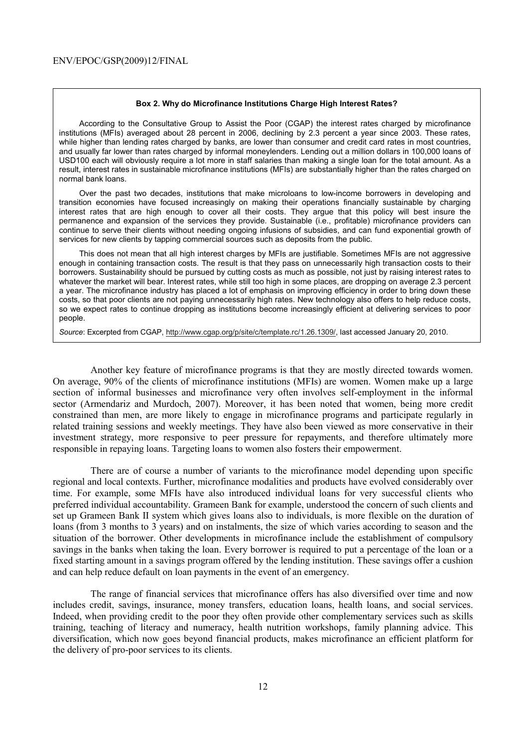#### **Box 2. Why do Microfinance Institutions Charge High Interest Rates?**

According to the Consultative Group to Assist the Poor (CGAP) the interest rates charged by microfinance institutions (MFIs) averaged about 28 percent in 2006, declining by 2.3 percent a year since 2003. These rates, while higher than lending rates charged by banks, are lower than consumer and credit card rates in most countries, and usually far lower than rates charged by informal moneylenders. Lending out a million dollars in 100,000 loans of USD100 each will obviously require a lot more in staff salaries than making a single loan for the total amount. As a result, interest rates in sustainable microfinance institutions (MFIs) are substantially higher than the rates charged on normal bank loans.

Over the past two decades, institutions that make microloans to low-income borrowers in developing and transition economies have focused increasingly on making their operations financially sustainable by charging interest rates that are high enough to cover all their costs. They argue that this policy will best insure the permanence and expansion of the services they provide. Sustainable (i.e., profitable) microfinance providers can continue to serve their clients without needing ongoing infusions of subsidies, and can fund exponential growth of services for new clients by tapping commercial sources such as deposits from the public.

This does not mean that all high interest charges by MFIs are justifiable. Sometimes MFIs are not aggressive enough in containing transaction costs. The result is that they pass on unnecessarily high transaction costs to their borrowers. Sustainability should be pursued by cutting costs as much as possible, not just by raising interest rates to whatever the market will bear. Interest rates, while still too high in some places, are dropping on average 2.3 percent a year. The microfinance industry has placed a lot of emphasis on improving efficiency in order to bring down these costs, so that poor clients are not paying unnecessarily high rates. New technology also offers to help reduce costs, so we expect rates to continue dropping as institutions become increasingly efficient at delivering services to poor people.

*Source*: Excerpted from CGAP, http://www.cgap.org/p/site/c/template.rc/1.26.1309/, last accessed January 20, 2010.

Another key feature of microfinance programs is that they are mostly directed towards women. On average, 90% of the clients of microfinance institutions (MFIs) are women. Women make up a large section of informal businesses and microfinance very often involves self-employment in the informal sector (Armendariz and Murdoch, 2007). Moreover, it has been noted that women, being more credit constrained than men, are more likely to engage in microfinance programs and participate regularly in related training sessions and weekly meetings. They have also been viewed as more conservative in their investment strategy, more responsive to peer pressure for repayments, and therefore ultimately more responsible in repaying loans. Targeting loans to women also fosters their empowerment.

There are of course a number of variants to the microfinance model depending upon specific regional and local contexts. Further, microfinance modalities and products have evolved considerably over time. For example, some MFIs have also introduced individual loans for very successful clients who preferred individual accountability. Grameen Bank for example, understood the concern of such clients and set up Grameen Bank II system which gives loans also to individuals, is more flexible on the duration of loans (from 3 months to 3 years) and on instalments, the size of which varies according to season and the situation of the borrower. Other developments in microfinance include the establishment of compulsory savings in the banks when taking the loan. Every borrower is required to put a percentage of the loan or a fixed starting amount in a savings program offered by the lending institution. These savings offer a cushion and can help reduce default on loan payments in the event of an emergency.

The range of financial services that microfinance offers has also diversified over time and now includes credit, savings, insurance, money transfers, education loans, health loans, and social services. Indeed, when providing credit to the poor they often provide other complementary services such as skills training, teaching of literacy and numeracy, health nutrition workshops, family planning advice. This diversification, which now goes beyond financial products, makes microfinance an efficient platform for the delivery of pro-poor services to its clients.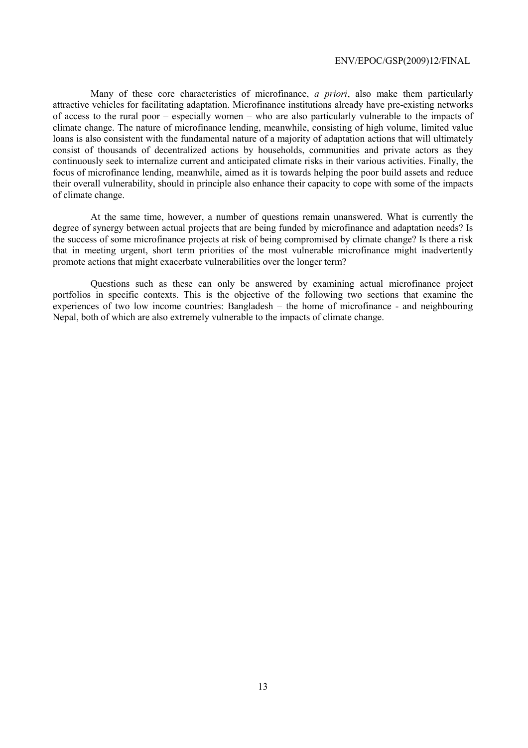Many of these core characteristics of microfinance, *a priori*, also make them particularly attractive vehicles for facilitating adaptation. Microfinance institutions already have pre-existing networks of access to the rural poor – especially women – who are also particularly vulnerable to the impacts of climate change. The nature of microfinance lending, meanwhile, consisting of high volume, limited value loans is also consistent with the fundamental nature of a majority of adaptation actions that will ultimately consist of thousands of decentralized actions by households, communities and private actors as they continuously seek to internalize current and anticipated climate risks in their various activities. Finally, the focus of microfinance lending, meanwhile, aimed as it is towards helping the poor build assets and reduce their overall vulnerability, should in principle also enhance their capacity to cope with some of the impacts of climate change.

At the same time, however, a number of questions remain unanswered. What is currently the degree of synergy between actual projects that are being funded by microfinance and adaptation needs? Is the success of some microfinance projects at risk of being compromised by climate change? Is there a risk that in meeting urgent, short term priorities of the most vulnerable microfinance might inadvertently promote actions that might exacerbate vulnerabilities over the longer term?

Questions such as these can only be answered by examining actual microfinance project portfolios in specific contexts. This is the objective of the following two sections that examine the experiences of two low income countries: Bangladesh – the home of microfinance - and neighbouring Nepal, both of which are also extremely vulnerable to the impacts of climate change.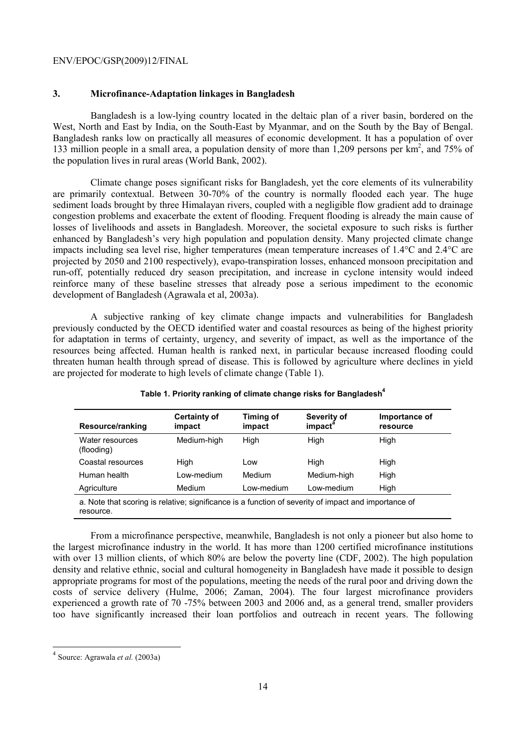# **3. Microfinance-Adaptation linkages in Bangladesh**

Bangladesh is a low-lying country located in the deltaic plan of a river basin, bordered on the West, North and East by India, on the South-East by Myanmar, and on the South by the Bay of Bengal. Bangladesh ranks low on practically all measures of economic development. It has a population of over 133 million people in a small area, a population density of more than 1,209 persons per km<sup>2</sup>, and 75% of the population lives in rural areas (World Bank, 2002).

Climate change poses significant risks for Bangladesh, yet the core elements of its vulnerability are primarily contextual. Between 30-70% of the country is normally flooded each year. The huge sediment loads brought by three Himalayan rivers, coupled with a negligible flow gradient add to drainage congestion problems and exacerbate the extent of flooding. Frequent flooding is already the main cause of losses of livelihoods and assets in Bangladesh. Moreover, the societal exposure to such risks is further enhanced by Bangladesh's very high population and population density. Many projected climate change impacts including sea level rise, higher temperatures (mean temperature increases of 1.4°C and 2.4°C are projected by 2050 and 2100 respectively), evapo-transpiration losses, enhanced monsoon precipitation and run-off, potentially reduced dry season precipitation, and increase in cyclone intensity would indeed reinforce many of these baseline stresses that already pose a serious impediment to the economic development of Bangladesh (Agrawala et al, 2003a).

A subjective ranking of key climate change impacts and vulnerabilities for Bangladesh previously conducted by the OECD identified water and coastal resources as being of the highest priority for adaptation in terms of certainty, urgency, and severity of impact, as well as the importance of the resources being affected. Human health is ranked next, in particular because increased flooding could threaten human health through spread of disease. This is followed by agriculture where declines in yield are projected for moderate to high levels of climate change (Table 1).

| Resource/ranking                                                                                                  | <b>Certainty of</b><br>impact | Timing of<br>impact | Severity of<br>impact <sup>a</sup> | Importance of<br>resource |
|-------------------------------------------------------------------------------------------------------------------|-------------------------------|---------------------|------------------------------------|---------------------------|
| Water resources<br>(flooding)                                                                                     | Medium-high                   | High                | High                               | High                      |
| Coastal resources                                                                                                 | High                          | Low                 | High                               | High                      |
| Human health                                                                                                      | Low-medium                    | Medium              | Medium-high                        | High                      |
| Agriculture                                                                                                       | Medium                        | Low-medium          | _ow-medium                         | High                      |
| a. Note that scoring is relative; significance is a function of severity of impact and importance of<br>resource. |                               |                     |                                    |                           |

|  | Table 1. Priority ranking of climate change risks for Bangladesh <sup>4</sup> |  |  |  |  |
|--|-------------------------------------------------------------------------------|--|--|--|--|
|  |                                                                               |  |  |  |  |

From a microfinance perspective, meanwhile, Bangladesh is not only a pioneer but also home to the largest microfinance industry in the world. It has more than 1200 certified microfinance institutions with over 13 million clients, of which 80% are below the poverty line (CDF, 2002). The high population density and relative ethnic, social and cultural homogeneity in Bangladesh have made it possible to design appropriate programs for most of the populations, meeting the needs of the rural poor and driving down the costs of service delivery (Hulme, 2006; Zaman, 2004). The four largest microfinance providers experienced a growth rate of 70 -75% between 2003 and 2006 and, as a general trend, smaller providers too have significantly increased their loan portfolios and outreach in recent years. The following

<sup>4</sup> Source: Agrawala *et al.* (2003a)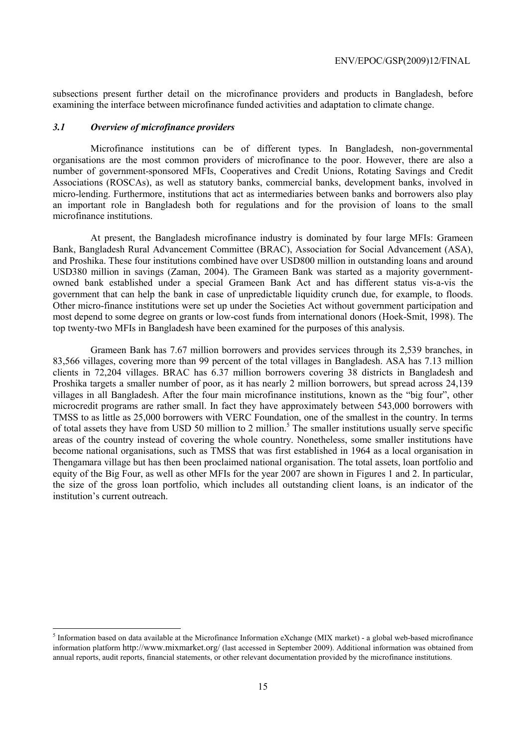subsections present further detail on the microfinance providers and products in Bangladesh, before examining the interface between microfinance funded activities and adaptation to climate change.

#### *3.1 Overview of microfinance providers*

 $\overline{a}$ 

Microfinance institutions can be of different types. In Bangladesh, non-governmental organisations are the most common providers of microfinance to the poor. However, there are also a number of government-sponsored MFIs, Cooperatives and Credit Unions, Rotating Savings and Credit Associations (ROSCAs), as well as statutory banks, commercial banks, development banks, involved in micro-lending. Furthermore, institutions that act as intermediaries between banks and borrowers also play an important role in Bangladesh both for regulations and for the provision of loans to the small microfinance institutions.

At present, the Bangladesh microfinance industry is dominated by four large MFIs: Grameen Bank, Bangladesh Rural Advancement Committee (BRAC), Association for Social Advancement (ASA), and Proshika. These four institutions combined have over USD800 million in outstanding loans and around USD380 million in savings (Zaman, 2004). The Grameen Bank was started as a majority governmentowned bank established under a special Grameen Bank Act and has different status vis-a-vis the government that can help the bank in case of unpredictable liquidity crunch due, for example, to floods. Other micro-finance institutions were set up under the Societies Act without government participation and most depend to some degree on grants or low-cost funds from international donors (Hoek-Smit, 1998). The top twenty-two MFIs in Bangladesh have been examined for the purposes of this analysis.

Grameen Bank has 7.67 million borrowers and provides services through its 2,539 branches, in 83,566 villages, covering more than 99 percent of the total villages in Bangladesh. ASA has 7.13 million clients in 72,204 villages. BRAC has 6.37 million borrowers covering 38 districts in Bangladesh and Proshika targets a smaller number of poor, as it has nearly 2 million borrowers, but spread across 24,139 villages in all Bangladesh. After the four main microfinance institutions, known as the "big four", other microcredit programs are rather small. In fact they have approximately between 543,000 borrowers with TMSS to as little as 25,000 borrowers with VERC Foundation, one of the smallest in the country. In terms of total assets they have from USD 50 million to 2 million.<sup>5</sup> The smaller institutions usually serve specific areas of the country instead of covering the whole country. Nonetheless, some smaller institutions have become national organisations, such as TMSS that was first established in 1964 as a local organisation in Thengamara village but has then been proclaimed national organisation. The total assets, loan portfolio and equity of the Big Four, as well as other MFIs for the year 2007 are shown in Figures 1 and 2. In particular, the size of the gross loan portfolio, which includes all outstanding client loans, is an indicator of the institution's current outreach.

 $<sup>5</sup>$  Information based on data available at the Microfinance Information eXchange (MIX market) - a global web-based microfinance</sup> information platform http://www.mixmarket.org/ (last accessed in September 2009). Additional information was obtained from annual reports, audit reports, financial statements, or other relevant documentation provided by the microfinance institutions.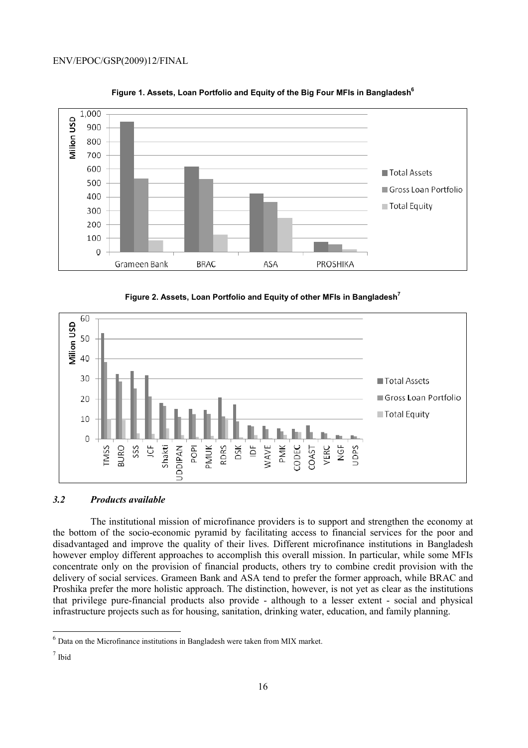

Figure 1. Assets, Loan Portfolio and Equity of the Big Four MFIs in Bangladesh<sup>6</sup>

**Figure 2. Assets, Loan Portfolio and Equity of other MFIs in Bangladesh7**



# *3.2 Products available*

The institutional mission of microfinance providers is to support and strengthen the economy at the bottom of the socio-economic pyramid by facilitating access to financial services for the poor and disadvantaged and improve the quality of their lives. Different microfinance institutions in Bangladesh however employ different approaches to accomplish this overall mission. In particular, while some MFIs concentrate only on the provision of financial products, others try to combine credit provision with the delivery of social services. Grameen Bank and ASA tend to prefer the former approach, while BRAC and Proshika prefer the more holistic approach. The distinction, however, is not yet as clear as the institutions that privilege pure-financial products also provide - although to a lesser extent - social and physical infrastructure projects such as for housing, sanitation, drinking water, education, and family planning.

 $\overline{a}$ 

 $6$  Data on the Microfinance institutions in Bangladesh were taken from MIX market.

 $<sup>7</sup>$  Ibid</sup>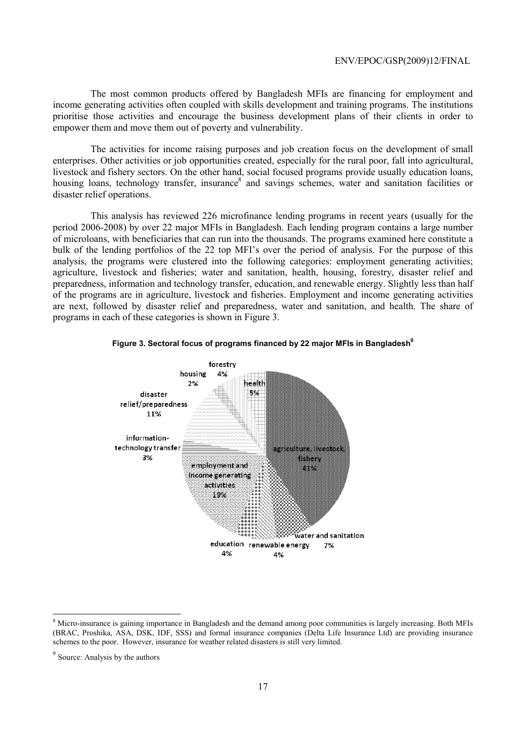The most common products offered by Bangladesh MFIs are financing for employment and income generating activities often coupled with skills development and training programs. The institutions prioritise those activities and encourage the business development plans of their clients in order to empower them and move them out of poverty and vulnerability.

The activities for income raising purposes and job creation focus on the development of small enterprises. Other activities or job opportunities created, especially for the rural poor, fall into agricultural, livestock and fishery sectors. On the other hand, social focused programs provide usually education loans, housing loans, technology transfer, insurance<sup>8</sup> and savings schemes, water and sanitation facilities or disaster relief operations.

This analysis has reviewed 226 microfinance lending programs in recent years (usually for the period 2006-2008) by over 22 major MFIs in Bangladesh. Each lending program contains a large number of microloans, with beneficiaries that can run into the thousands. The programs examined here constitute a bulk of the lending portfolios of the 22 top MFI's over the period of analysis. For the purpose of this analysis, the programs were clustered into the following categories: employment generating activities; agriculture, livestock and fisheries; water and sanitation, health, housing, forestry, disaster relief and preparedness, information and technology transfer, education, and renewable energy. Slightly less than half of the programs are in agriculture, livestock and fisheries. Employment and income generating activities are next, followed by disaster relief and preparedness, water and sanitation, and health. The share of programs in each of these categories is shown in Figure 3.





<sup>&</sup>lt;sup>8</sup> Micro-insurance is gaining importance in Bangladesh and the demand among poor communities is largely increasing. Both MFIs (BRAC, Proshika, ASA, DSK, IDF, SSS) and formal insurance companies (Delta Life Insurance Ltd) are providing insurance schemes to the poor. However, insurance for weather related disasters is still very limited.

<sup>&</sup>lt;sup>9</sup> Source: Analysis by the authors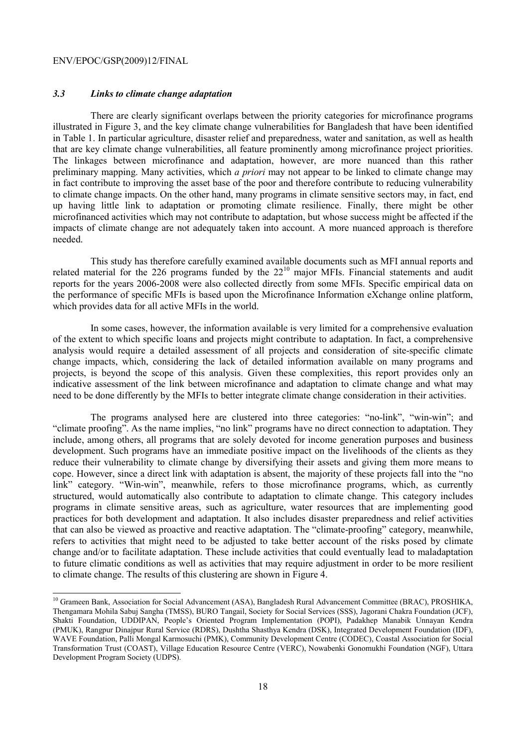$\overline{a}$ 

## *3.3 Links to climate change adaptation*

There are clearly significant overlaps between the priority categories for microfinance programs illustrated in Figure 3, and the key climate change vulnerabilities for Bangladesh that have been identified in Table 1. In particular agriculture, disaster relief and preparedness, water and sanitation, as well as health that are key climate change vulnerabilities, all feature prominently among microfinance project priorities. The linkages between microfinance and adaptation, however, are more nuanced than this rather preliminary mapping. Many activities, which *a priori* may not appear to be linked to climate change may in fact contribute to improving the asset base of the poor and therefore contribute to reducing vulnerability to climate change impacts. On the other hand, many programs in climate sensitive sectors may, in fact, end up having little link to adaptation or promoting climate resilience. Finally, there might be other microfinanced activities which may not contribute to adaptation, but whose success might be affected if the impacts of climate change are not adequately taken into account. A more nuanced approach is therefore needed.

This study has therefore carefully examined available documents such as MFI annual reports and related material for the 226 programs funded by the 22<sup>10</sup> major MFIs. Financial statements and audit reports for the years 2006-2008 were also collected directly from some MFIs. Specific empirical data on the performance of specific MFIs is based upon the Microfinance Information eXchange online platform, which provides data for all active MFIs in the world.

In some cases, however, the information available is very limited for a comprehensive evaluation of the extent to which specific loans and projects might contribute to adaptation. In fact, a comprehensive analysis would require a detailed assessment of all projects and consideration of site-specific climate change impacts, which, considering the lack of detailed information available on many programs and projects, is beyond the scope of this analysis. Given these complexities, this report provides only an indicative assessment of the link between microfinance and adaptation to climate change and what may need to be done differently by the MFIs to better integrate climate change consideration in their activities.

The programs analysed here are clustered into three categories: "no-link", "win-win"; and "climate proofing". As the name implies, "no link" programs have no direct connection to adaptation. They include, among others, all programs that are solely devoted for income generation purposes and business development. Such programs have an immediate positive impact on the livelihoods of the clients as they reduce their vulnerability to climate change by diversifying their assets and giving them more means to cope. However, since a direct link with adaptation is absent, the majority of these projects fall into the "no link" category. "Win-win", meanwhile, refers to those microfinance programs, which, as currently structured, would automatically also contribute to adaptation to climate change. This category includes programs in climate sensitive areas, such as agriculture, water resources that are implementing good practices for both development and adaptation. It also includes disaster preparedness and relief activities that can also be viewed as proactive and reactive adaptation. The "climate-proofing" category, meanwhile, refers to activities that might need to be adjusted to take better account of the risks posed by climate change and/or to facilitate adaptation. These include activities that could eventually lead to maladaptation to future climatic conditions as well as activities that may require adjustment in order to be more resilient to climate change. The results of this clustering are shown in Figure 4.

<sup>&</sup>lt;sup>10</sup> Grameen Bank, Association for Social Advancement (ASA), Bangladesh Rural Advancement Committee (BRAC), PROSHIKA, Thengamara Mohila Sabuj Sangha (TMSS), BURO Tangail, Society for Social Services (SSS), Jagorani Chakra Foundation (JCF), Shakti Foundation, UDDIPAN, People's Oriented Program Implementation (POPI), Padakhep Manabik Unnayan Kendra (PMUK), Rangpur Dinajpur Rural Service (RDRS), Dushtha Shasthya Kendra (DSK), Integrated Development Foundation (IDF), WAVE Foundation, Palli Mongal Karmosuchi (PMK), Community Development Centre (CODEC), Coastal Association for Social Transformation Trust (COAST), Village Education Resource Centre (VERC), Nowabenki Gonomukhi Foundation (NGF), Uttara Development Program Society (UDPS).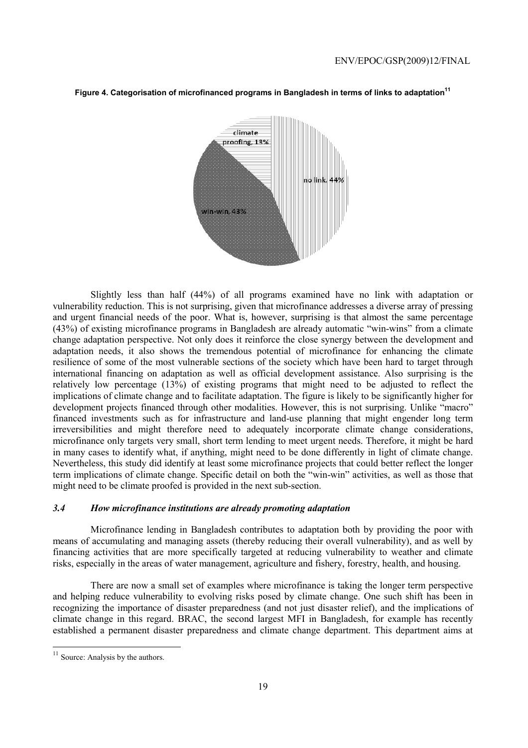

Figure 4. Categorisation of microfinanced programs in Bangladesh in terms of links to adaptation<sup>11</sup>

Slightly less than half (44%) of all programs examined have no link with adaptation or vulnerability reduction. This is not surprising, given that microfinance addresses a diverse array of pressing and urgent financial needs of the poor. What is, however, surprising is that almost the same percentage (43%) of existing microfinance programs in Bangladesh are already automatic "win-wins" from a climate change adaptation perspective. Not only does it reinforce the close synergy between the development and adaptation needs, it also shows the tremendous potential of microfinance for enhancing the climate resilience of some of the most vulnerable sections of the society which have been hard to target through international financing on adaptation as well as official development assistance. Also surprising is the relatively low percentage (13%) of existing programs that might need to be adjusted to reflect the implications of climate change and to facilitate adaptation. The figure is likely to be significantly higher for development projects financed through other modalities. However, this is not surprising. Unlike "macro" financed investments such as for infrastructure and land-use planning that might engender long term irreversibilities and might therefore need to adequately incorporate climate change considerations, microfinance only targets very small, short term lending to meet urgent needs. Therefore, it might be hard in many cases to identify what, if anything, might need to be done differently in light of climate change. Nevertheless, this study did identify at least some microfinance projects that could better reflect the longer term implications of climate change. Specific detail on both the "win-win" activities, as well as those that might need to be climate proofed is provided in the next sub-section.

# *3.4 How microfinance institutions are already promoting adaptation*

Microfinance lending in Bangladesh contributes to adaptation both by providing the poor with means of accumulating and managing assets (thereby reducing their overall vulnerability), and as well by financing activities that are more specifically targeted at reducing vulnerability to weather and climate risks, especially in the areas of water management, agriculture and fishery, forestry, health, and housing.

There are now a small set of examples where microfinance is taking the longer term perspective and helping reduce vulnerability to evolving risks posed by climate change. One such shift has been in recognizing the importance of disaster preparedness (and not just disaster relief), and the implications of climate change in this regard. BRAC, the second largest MFI in Bangladesh, for example has recently established a permanent disaster preparedness and climate change department. This department aims at

 $11$  Source: Analysis by the authors.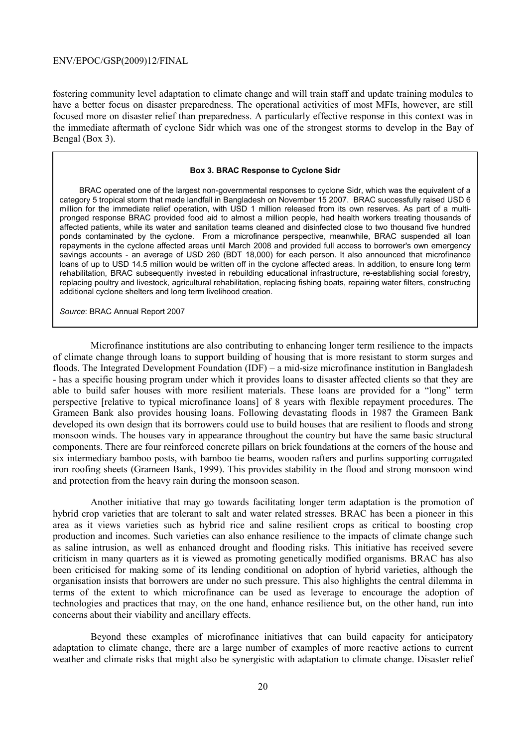fostering community level adaptation to climate change and will train staff and update training modules to have a better focus on disaster preparedness. The operational activities of most MFIs, however, are still focused more on disaster relief than preparedness. A particularly effective response in this context was in the immediate aftermath of cyclone Sidr which was one of the strongest storms to develop in the Bay of Bengal (Box 3).

#### **Box 3. BRAC Response to Cyclone Sidr**

BRAC operated one of the largest non-governmental responses to cyclone Sidr, which was the equivalent of a category 5 tropical storm that made landfall in Bangladesh on November 15 2007. BRAC successfully raised USD 6 million for the immediate relief operation, with USD 1 million released from its own reserves. As part of a multipronged response BRAC provided food aid to almost a million people, had health workers treating thousands of affected patients, while its water and sanitation teams cleaned and disinfected close to two thousand five hundred ponds contaminated by the cyclone. From a microfinance perspective, meanwhile, BRAC suspended all loan repayments in the cyclone affected areas until March 2008 and provided full access to borrower's own emergency savings accounts - an average of USD 260 (BDT 18,000) for each person. It also announced that microfinance loans of up to USD 14.5 million would be written off in the cyclone affected areas. In addition, to ensure long term rehabilitation, BRAC subsequently invested in rebuilding educational infrastructure, re-establishing social forestry, replacing poultry and livestock, agricultural rehabilitation, replacing fishing boats, repairing water filters, constructing additional cyclone shelters and long term livelihood creation.

*Source*: BRAC Annual Report 2007

Microfinance institutions are also contributing to enhancing longer term resilience to the impacts of climate change through loans to support building of housing that is more resistant to storm surges and floods. The Integrated Development Foundation (IDF) – a mid-size microfinance institution in Bangladesh - has a specific housing program under which it provides loans to disaster affected clients so that they are able to build safer houses with more resilient materials. These loans are provided for a "long" term perspective [relative to typical microfinance loans] of 8 years with flexible repayment procedures. The Grameen Bank also provides housing loans. Following devastating floods in 1987 the Grameen Bank developed its own design that its borrowers could use to build houses that are resilient to floods and strong monsoon winds. The houses vary in appearance throughout the country but have the same basic structural components. There are four reinforced concrete pillars on brick foundations at the corners of the house and six intermediary bamboo posts, with bamboo tie beams, wooden rafters and purlins supporting corrugated iron roofing sheets (Grameen Bank, 1999). This provides stability in the flood and strong monsoon wind and protection from the heavy rain during the monsoon season.

Another initiative that may go towards facilitating longer term adaptation is the promotion of hybrid crop varieties that are tolerant to salt and water related stresses. BRAC has been a pioneer in this area as it views varieties such as hybrid rice and saline resilient crops as critical to boosting crop production and incomes. Such varieties can also enhance resilience to the impacts of climate change such as saline intrusion, as well as enhanced drought and flooding risks. This initiative has received severe criticism in many quarters as it is viewed as promoting genetically modified organisms. BRAC has also been criticised for making some of its lending conditional on adoption of hybrid varieties, although the organisation insists that borrowers are under no such pressure. This also highlights the central dilemma in terms of the extent to which microfinance can be used as leverage to encourage the adoption of technologies and practices that may, on the one hand, enhance resilience but, on the other hand, run into concerns about their viability and ancillary effects.

Beyond these examples of microfinance initiatives that can build capacity for anticipatory adaptation to climate change, there are a large number of examples of more reactive actions to current weather and climate risks that might also be synergistic with adaptation to climate change. Disaster relief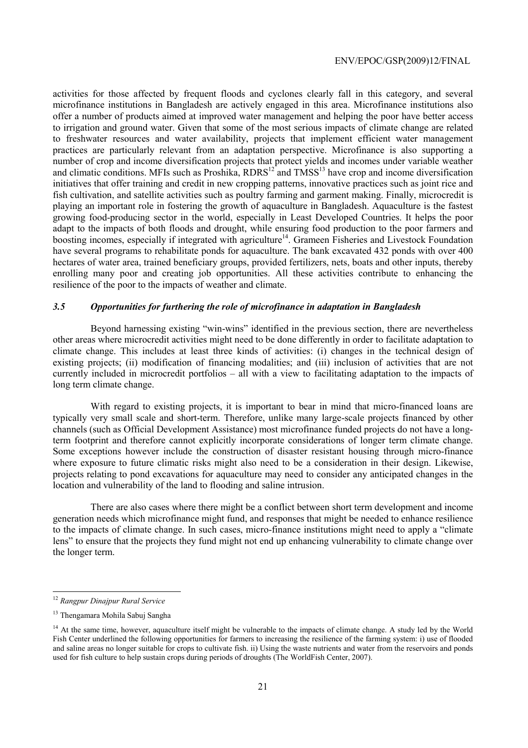activities for those affected by frequent floods and cyclones clearly fall in this category, and several microfinance institutions in Bangladesh are actively engaged in this area. Microfinance institutions also offer a number of products aimed at improved water management and helping the poor have better access to irrigation and ground water. Given that some of the most serious impacts of climate change are related to freshwater resources and water availability, projects that implement efficient water management practices are particularly relevant from an adaptation perspective. Microfinance is also supporting a number of crop and income diversification projects that protect yields and incomes under variable weather and climatic conditions. MFIs such as Proshika,  $RDRS<sup>12</sup>$  and TMSS<sup>13</sup> have crop and income diversification initiatives that offer training and credit in new cropping patterns, innovative practices such as joint rice and fish cultivation, and satellite activities such as poultry farming and garment making. Finally, microcredit is playing an important role in fostering the growth of aquaculture in Bangladesh. Aquaculture is the fastest growing food-producing sector in the world, especially in Least Developed Countries. It helps the poor adapt to the impacts of both floods and drought, while ensuring food production to the poor farmers and boosting incomes, especially if integrated with agriculture<sup>14</sup>. Grameen Fisheries and Livestock Foundation have several programs to rehabilitate ponds for aquaculture. The bank excavated 432 ponds with over 400 hectares of water area, trained beneficiary groups, provided fertilizers, nets, boats and other inputs, thereby enrolling many poor and creating job opportunities. All these activities contribute to enhancing the resilience of the poor to the impacts of weather and climate.

# *3.5 Opportunities for furthering the role of microfinance in adaptation in Bangladesh*

Beyond harnessing existing "win-wins" identified in the previous section, there are nevertheless other areas where microcredit activities might need to be done differently in order to facilitate adaptation to climate change. This includes at least three kinds of activities: (i) changes in the technical design of existing projects; (ii) modification of financing modalities; and (iii) inclusion of activities that are not currently included in microcredit portfolios – all with a view to facilitating adaptation to the impacts of long term climate change.

With regard to existing projects, it is important to bear in mind that micro-financed loans are typically very small scale and short-term. Therefore, unlike many large-scale projects financed by other channels (such as Official Development Assistance) most microfinance funded projects do not have a longterm footprint and therefore cannot explicitly incorporate considerations of longer term climate change. Some exceptions however include the construction of disaster resistant housing through micro-finance where exposure to future climatic risks might also need to be a consideration in their design. Likewise, projects relating to pond excavations for aquaculture may need to consider any anticipated changes in the location and vulnerability of the land to flooding and saline intrusion.

There are also cases where there might be a conflict between short term development and income generation needs which microfinance might fund, and responses that might be needed to enhance resilience to the impacts of climate change. In such cases, micro-finance institutions might need to apply a "climate lens" to ensure that the projects they fund might not end up enhancing vulnerability to climate change over the longer term.

<sup>12</sup> *Rangpur Dinajpur Rural Service*

<sup>13</sup> Thengamara Mohila Sabuj Sangha

<sup>&</sup>lt;sup>14</sup> At the same time, however, aquaculture itself might be vulnerable to the impacts of climate change. A study led by the World Fish Center underlined the following opportunities for farmers to increasing the resilience of the farming system: i) use of flooded and saline areas no longer suitable for crops to cultivate fish. ii) Using the waste nutrients and water from the reservoirs and ponds used for fish culture to help sustain crops during periods of droughts (The WorldFish Center, 2007).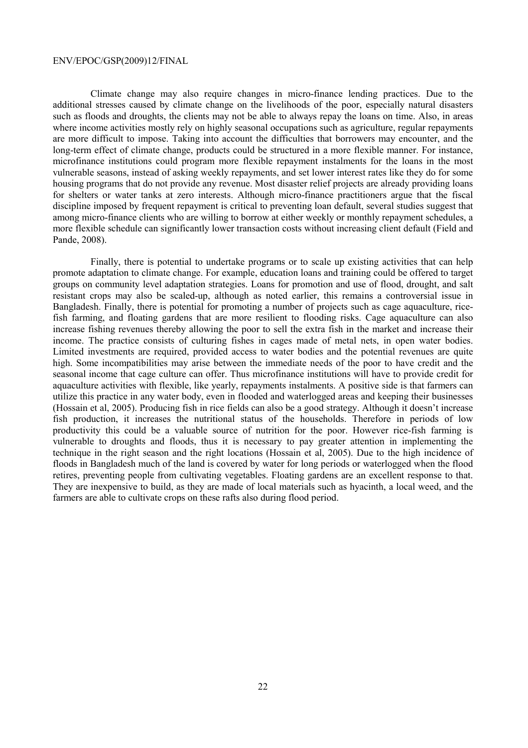Climate change may also require changes in micro-finance lending practices. Due to the additional stresses caused by climate change on the livelihoods of the poor, especially natural disasters such as floods and droughts, the clients may not be able to always repay the loans on time. Also, in areas where income activities mostly rely on highly seasonal occupations such as agriculture, regular repayments are more difficult to impose. Taking into account the difficulties that borrowers may encounter, and the long-term effect of climate change, products could be structured in a more flexible manner. For instance, microfinance institutions could program more flexible repayment instalments for the loans in the most vulnerable seasons, instead of asking weekly repayments, and set lower interest rates like they do for some housing programs that do not provide any revenue. Most disaster relief projects are already providing loans for shelters or water tanks at zero interests. Although micro-finance practitioners argue that the fiscal discipline imposed by frequent repayment is critical to preventing loan default, several studies suggest that among micro-finance clients who are willing to borrow at either weekly or monthly repayment schedules, a more flexible schedule can significantly lower transaction costs without increasing client default (Field and Pande, 2008).

Finally, there is potential to undertake programs or to scale up existing activities that can help promote adaptation to climate change. For example, education loans and training could be offered to target groups on community level adaptation strategies. Loans for promotion and use of flood, drought, and salt resistant crops may also be scaled-up, although as noted earlier, this remains a controversial issue in Bangladesh. Finally, there is potential for promoting a number of projects such as cage aquaculture, ricefish farming, and floating gardens that are more resilient to flooding risks. Cage aquaculture can also increase fishing revenues thereby allowing the poor to sell the extra fish in the market and increase their income. The practice consists of culturing fishes in cages made of metal nets, in open water bodies. Limited investments are required, provided access to water bodies and the potential revenues are quite high. Some incompatibilities may arise between the immediate needs of the poor to have credit and the seasonal income that cage culture can offer. Thus microfinance institutions will have to provide credit for aquaculture activities with flexible, like yearly, repayments instalments. A positive side is that farmers can utilize this practice in any water body, even in flooded and waterlogged areas and keeping their businesses (Hossain et al, 2005). Producing fish in rice fields can also be a good strategy. Although it doesn't increase fish production, it increases the nutritional status of the households. Therefore in periods of low productivity this could be a valuable source of nutrition for the poor. However rice-fish farming is vulnerable to droughts and floods, thus it is necessary to pay greater attention in implementing the technique in the right season and the right locations (Hossain et al, 2005). Due to the high incidence of floods in Bangladesh much of the land is covered by water for long periods or waterlogged when the flood retires, preventing people from cultivating vegetables. Floating gardens are an excellent response to that. They are inexpensive to build, as they are made of local materials such as hyacinth, a local weed, and the farmers are able to cultivate crops on these rafts also during flood period.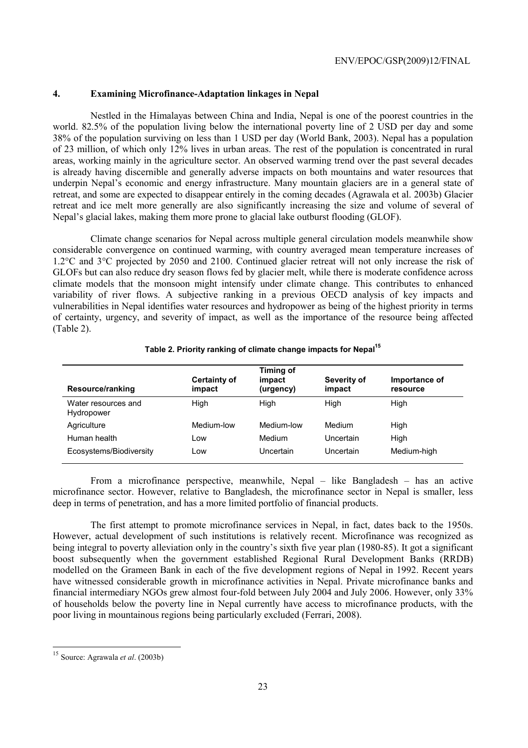# **4. Examining Microfinance-Adaptation linkages in Nepal**

Nestled in the Himalayas between China and India, Nepal is one of the poorest countries in the world. 82.5% of the population living below the international poverty line of 2 USD per day and some 38% of the population surviving on less than 1 USD per day (World Bank, 2003). Nepal has a population of 23 million, of which only 12% lives in urban areas. The rest of the population is concentrated in rural areas, working mainly in the agriculture sector. An observed warming trend over the past several decades is already having discernible and generally adverse impacts on both mountains and water resources that underpin Nepal's economic and energy infrastructure. Many mountain glaciers are in a general state of retreat, and some are expected to disappear entirely in the coming decades (Agrawala et al. 2003b) Glacier retreat and ice melt more generally are also significantly increasing the size and volume of several of Nepal's glacial lakes, making them more prone to glacial lake outburst flooding (GLOF).

Climate change scenarios for Nepal across multiple general circulation models meanwhile show considerable convergence on continued warming, with country averaged mean temperature increases of 1.2°C and 3°C projected by 2050 and 2100. Continued glacier retreat will not only increase the risk of GLOFs but can also reduce dry season flows fed by glacier melt, while there is moderate confidence across climate models that the monsoon might intensify under climate change. This contributes to enhanced variability of river flows. A subjective ranking in a previous OECD analysis of key impacts and vulnerabilities in Nepal identifies water resources and hydropower as being of the highest priority in terms of certainty, urgency, and severity of impact, as well as the importance of the resource being affected (Table 2).

| Resource/ranking                  | <b>Certainty of</b><br>impact | <b>Timing of</b><br>impact<br>(urgency) | Severity of<br>impact | Importance of<br>resource |
|-----------------------------------|-------------------------------|-----------------------------------------|-----------------------|---------------------------|
| Water resources and<br>Hydropower | High                          | High                                    | High                  | High                      |
| Agriculture                       | Medium-low                    | Medium-low                              | Medium                | High                      |
| Human health                      | Low                           | Medium                                  | Uncertain             | High                      |
| Ecosystems/Biodiversity           | Low                           | Uncertain                               | Uncertain             | Medium-high               |

# Table 2. Priority ranking of climate change impacts for Nepal<sup>15</sup>

From a microfinance perspective, meanwhile, Nepal – like Bangladesh – has an active microfinance sector. However, relative to Bangladesh, the microfinance sector in Nepal is smaller, less deep in terms of penetration, and has a more limited portfolio of financial products.

The first attempt to promote microfinance services in Nepal, in fact, dates back to the 1950s. However, actual development of such institutions is relatively recent. Microfinance was recognized as being integral to poverty alleviation only in the country's sixth five year plan (1980-85). It got a significant boost subsequently when the government established Regional Rural Development Banks (RRDB) modelled on the Grameen Bank in each of the five development regions of Nepal in 1992. Recent years have witnessed considerable growth in microfinance activities in Nepal. Private microfinance banks and financial intermediary NGOs grew almost four-fold between July 2004 and July 2006. However, only 33% of households below the poverty line in Nepal currently have access to microfinance products, with the poor living in mountainous regions being particularly excluded (Ferrari, 2008).

<sup>15</sup> Source: Agrawala *et al*. (2003b)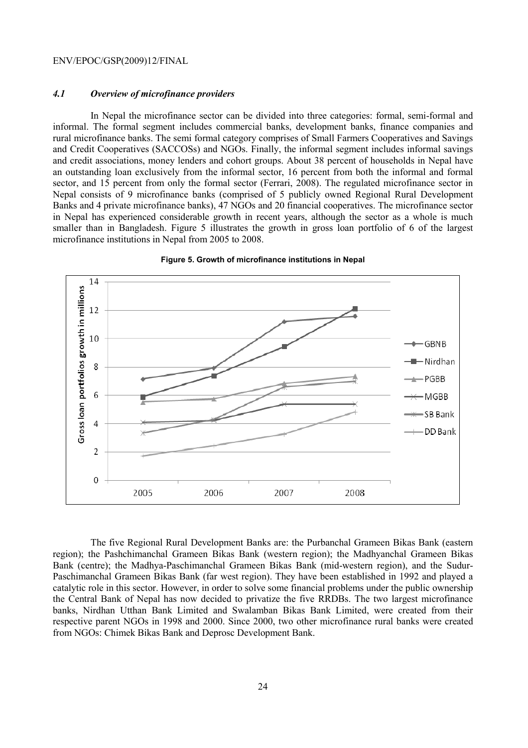# *4.1 Overview of microfinance providers*

In Nepal the microfinance sector can be divided into three categories: formal, semi-formal and informal. The formal segment includes commercial banks, development banks, finance companies and rural microfinance banks. The semi formal category comprises of Small Farmers Cooperatives and Savings and Credit Cooperatives (SACCOSs) and NGOs. Finally, the informal segment includes informal savings and credit associations, money lenders and cohort groups. About 38 percent of households in Nepal have an outstanding loan exclusively from the informal sector, 16 percent from both the informal and formal sector, and 15 percent from only the formal sector (Ferrari, 2008). The regulated microfinance sector in Nepal consists of 9 microfinance banks (comprised of 5 publicly owned Regional Rural Development Banks and 4 private microfinance banks), 47 NGOs and 20 financial cooperatives. The microfinance sector in Nepal has experienced considerable growth in recent years, although the sector as a whole is much smaller than in Bangladesh. Figure 5 illustrates the growth in gross loan portfolio of 6 of the largest microfinance institutions in Nepal from 2005 to 2008.





The five Regional Rural Development Banks are: the Purbanchal Grameen Bikas Bank (eastern region); the Pashchimanchal Grameen Bikas Bank (western region); the Madhyanchal Grameen Bikas Bank (centre); the Madhya-Paschimanchal Grameen Bikas Bank (mid-western region), and the Sudur-Paschimanchal Grameen Bikas Bank (far west region). They have been established in 1992 and played a catalytic role in this sector. However, in order to solve some financial problems under the public ownership the Central Bank of Nepal has now decided to privatize the five RRDBs. The two largest microfinance banks, Nirdhan Utthan Bank Limited and Swalamban Bikas Bank Limited, were created from their respective parent NGOs in 1998 and 2000. Since 2000, two other microfinance rural banks were created from NGOs: Chimek Bikas Bank and Deprosc Development Bank.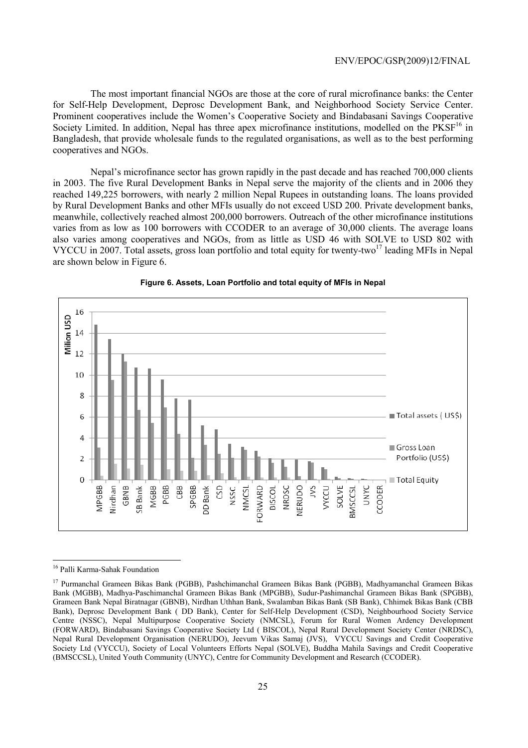The most important financial NGOs are those at the core of rural microfinance banks: the Center for Self-Help Development, Deprosc Development Bank, and Neighborhood Society Service Center. Prominent cooperatives include the Women's Cooperative Society and Bindabasani Savings Cooperative Society Limited. In addition, Nepal has three apex microfinance institutions, modelled on the  $PKSF^{16}$  in Bangladesh, that provide wholesale funds to the regulated organisations, as well as to the best performing cooperatives and NGOs.

Nepal's microfinance sector has grown rapidly in the past decade and has reached 700,000 clients in 2003. The five Rural Development Banks in Nepal serve the majority of the clients and in 2006 they reached 149,225 borrowers, with nearly 2 million Nepal Rupees in outstanding loans. The loans provided by Rural Development Banks and other MFIs usually do not exceed USD 200. Private development banks, meanwhile, collectively reached almost 200,000 borrowers. Outreach of the other microfinance institutions varies from as low as 100 borrowers with CCODER to an average of 30,000 clients. The average loans also varies among cooperatives and NGOs, from as little as USD 46 with SOLVE to USD 802 with VYCCU in 2007. Total assets, gross loan portfolio and total equity for twenty-two<sup>17</sup> leading MFIs in Nepal are shown below in Figure 6.





 $\overline{a}$ 

<sup>16</sup> Palli Karma-Sahak Foundation

<sup>17</sup> Purmanchal Grameen Bikas Bank (PGBB), Pashchimanchal Grameen Bikas Bank (PGBB), Madhyamanchal Grameen Bikas Bank (MGBB), Madhya-Paschimanchal Grameen Bikas Bank (MPGBB), Sudur-Pashimanchal Grameen Bikas Bank (SPGBB), Grameen Bank Nepal Biratnagar (GBNB), Nirdhan Uthhan Bank, Swalamban Bikas Bank (SB Bank), Chhimek Bikas Bank (CBB Bank), Deprosc Development Bank ( DD Bank), Center for Self-Help Development (CSD), Neighbourhood Society Service Centre (NSSC), Nepal Multipurpose Cooperative Society (NMCSL), Forum for Rural Women Ardency Development (FORWARD), Bindabasani Savings Cooperative Society Ltd ( BISCOL), Nepal Rural Development Society Center (NRDSC), Nepal Rural Development Organisation (NERUDO), Jeevum Vikas Samaj (JVS), VYCCU Savings and Credit Cooperative Society Ltd (VYCCU), Society of Local Volunteers Efforts Nepal (SOLVE), Buddha Mahila Savings and Credit Cooperative (BMSCCSL), United Youth Community (UNYC), Centre for Community Development and Research (CCODER).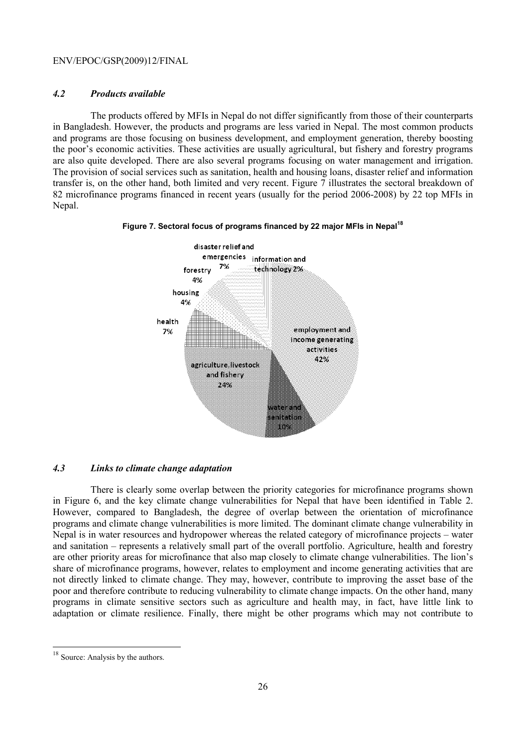# *4.2 Products available*

The products offered by MFIs in Nepal do not differ significantly from those of their counterparts in Bangladesh. However, the products and programs are less varied in Nepal. The most common products and programs are those focusing on business development, and employment generation, thereby boosting the poor's economic activities. These activities are usually agricultural, but fishery and forestry programs are also quite developed. There are also several programs focusing on water management and irrigation. The provision of social services such as sanitation, health and housing loans, disaster relief and information transfer is, on the other hand, both limited and very recent. Figure 7 illustrates the sectoral breakdown of 82 microfinance programs financed in recent years (usually for the period 2006-2008) by 22 top MFIs in Nepal.



# **Figure 7. Sectoral focus of programs financed by 22 major MFIs in Nepal18**

## *4.3 Links to climate change adaptation*

There is clearly some overlap between the priority categories for microfinance programs shown in Figure 6, and the key climate change vulnerabilities for Nepal that have been identified in Table 2. However, compared to Bangladesh, the degree of overlap between the orientation of microfinance programs and climate change vulnerabilities is more limited. The dominant climate change vulnerability in Nepal is in water resources and hydropower whereas the related category of microfinance projects – water and sanitation – represents a relatively small part of the overall portfolio. Agriculture, health and forestry are other priority areas for microfinance that also map closely to climate change vulnerabilities. The lion's share of microfinance programs, however, relates to employment and income generating activities that are not directly linked to climate change. They may, however, contribute to improving the asset base of the poor and therefore contribute to reducing vulnerability to climate change impacts. On the other hand, many programs in climate sensitive sectors such as agriculture and health may, in fact, have little link to adaptation or climate resilience. Finally, there might be other programs which may not contribute to

<sup>&</sup>lt;sup>18</sup> Source: Analysis by the authors.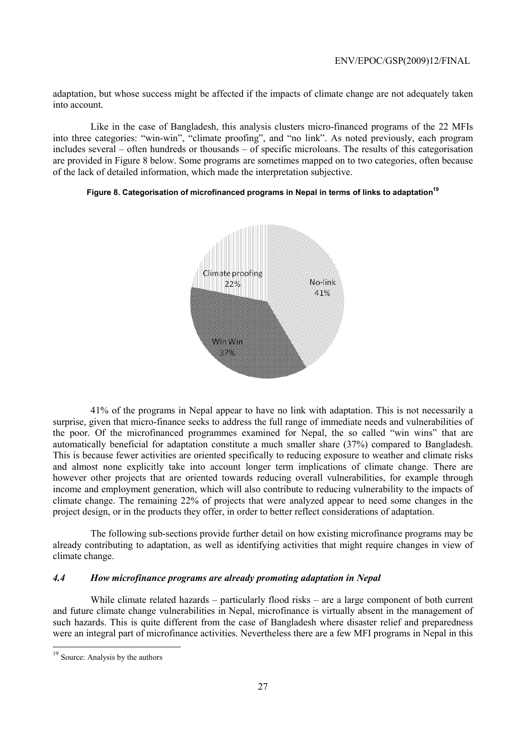adaptation, but whose success might be affected if the impacts of climate change are not adequately taken into account.

Like in the case of Bangladesh, this analysis clusters micro-financed programs of the 22 MFIs into three categories: "win-win", "climate proofing", and "no link". As noted previously, each program includes several – often hundreds or thousands – of specific microloans. The results of this categorisation are provided in Figure 8 below. Some programs are sometimes mapped on to two categories, often because of the lack of detailed information, which made the interpretation subjective.



# Figure 8. Categorisation of microfinanced programs in Nepal in terms of links to adaptation<sup>19</sup>

41% of the programs in Nepal appear to have no link with adaptation. This is not necessarily a surprise, given that micro-finance seeks to address the full range of immediate needs and vulnerabilities of the poor. Of the microfinanced programmes examined for Nepal, the so called "win wins" that are automatically beneficial for adaptation constitute a much smaller share (37%) compared to Bangladesh. This is because fewer activities are oriented specifically to reducing exposure to weather and climate risks and almost none explicitly take into account longer term implications of climate change. There are however other projects that are oriented towards reducing overall vulnerabilities, for example through income and employment generation, which will also contribute to reducing vulnerability to the impacts of climate change. The remaining 22% of projects that were analyzed appear to need some changes in the project design, or in the products they offer, in order to better reflect considerations of adaptation.

The following sub-sections provide further detail on how existing microfinance programs may be already contributing to adaptation, as well as identifying activities that might require changes in view of climate change.

# *4.4 How microfinance programs are already promoting adaptation in Nepal*

While climate related hazards – particularly flood risks – are a large component of both current and future climate change vulnerabilities in Nepal, microfinance is virtually absent in the management of such hazards. This is quite different from the case of Bangladesh where disaster relief and preparedness were an integral part of microfinance activities. Nevertheless there are a few MFI programs in Nepal in this

<sup>&</sup>lt;sup>19</sup> Source: Analysis by the authors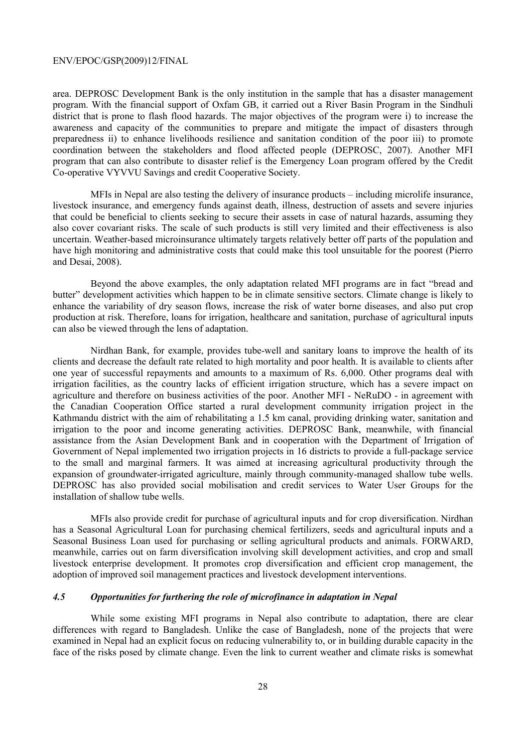area. DEPROSC Development Bank is the only institution in the sample that has a disaster management program. With the financial support of Oxfam GB, it carried out a River Basin Program in the Sindhuli district that is prone to flash flood hazards. The major objectives of the program were i) to increase the awareness and capacity of the communities to prepare and mitigate the impact of disasters through preparedness ii) to enhance livelihoods resilience and sanitation condition of the poor iii) to promote coordination between the stakeholders and flood affected people (DEPROSC, 2007). Another MFI program that can also contribute to disaster relief is the Emergency Loan program offered by the Credit Co-operative VYVVU Savings and credit Cooperative Society.

MFIs in Nepal are also testing the delivery of insurance products – including microlife insurance, livestock insurance, and emergency funds against death, illness, destruction of assets and severe injuries that could be beneficial to clients seeking to secure their assets in case of natural hazards, assuming they also cover covariant risks. The scale of such products is still very limited and their effectiveness is also uncertain. Weather-based microinsurance ultimately targets relatively better off parts of the population and have high monitoring and administrative costs that could make this tool unsuitable for the poorest (Pierro and Desai, 2008).

Beyond the above examples, the only adaptation related MFI programs are in fact "bread and butter" development activities which happen to be in climate sensitive sectors. Climate change is likely to enhance the variability of dry season flows, increase the risk of water borne diseases, and also put crop production at risk. Therefore, loans for irrigation, healthcare and sanitation, purchase of agricultural inputs can also be viewed through the lens of adaptation.

Nirdhan Bank, for example, provides tube-well and sanitary loans to improve the health of its clients and decrease the default rate related to high mortality and poor health. It is available to clients after one year of successful repayments and amounts to a maximum of Rs. 6,000. Other programs deal with irrigation facilities, as the country lacks of efficient irrigation structure, which has a severe impact on agriculture and therefore on business activities of the poor. Another MFI - NeRuDO - in agreement with the Canadian Cooperation Office started a rural development community irrigation project in the Kathmandu district with the aim of rehabilitating a 1.5 km canal, providing drinking water, sanitation and irrigation to the poor and income generating activities. DEPROSC Bank, meanwhile, with financial assistance from the Asian Development Bank and in cooperation with the Department of Irrigation of Government of Nepal implemented two irrigation projects in 16 districts to provide a full-package service to the small and marginal farmers. It was aimed at increasing agricultural productivity through the expansion of groundwater-irrigated agriculture, mainly through community-managed shallow tube wells. DEPROSC has also provided social mobilisation and credit services to Water User Groups for the installation of shallow tube wells.

MFIs also provide credit for purchase of agricultural inputs and for crop diversification. Nirdhan has a Seasonal Agricultural Loan for purchasing chemical fertilizers, seeds and agricultural inputs and a Seasonal Business Loan used for purchasing or selling agricultural products and animals. FORWARD, meanwhile, carries out on farm diversification involving skill development activities, and crop and small livestock enterprise development. It promotes crop diversification and efficient crop management, the adoption of improved soil management practices and livestock development interventions.

# *4.5 Opportunities for furthering the role of microfinance in adaptation in Nepal*

While some existing MFI programs in Nepal also contribute to adaptation, there are clear differences with regard to Bangladesh. Unlike the case of Bangladesh, none of the projects that were examined in Nepal had an explicit focus on reducing vulnerability to, or in building durable capacity in the face of the risks posed by climate change. Even the link to current weather and climate risks is somewhat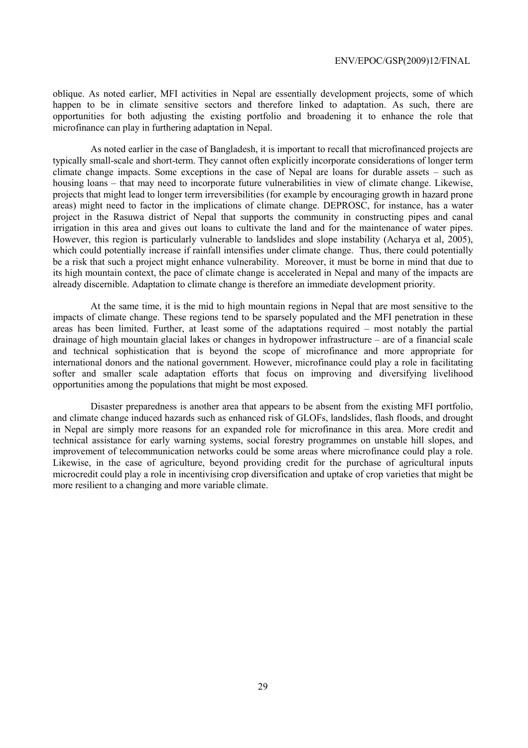oblique. As noted earlier, MFI activities in Nepal are essentially development projects, some of which happen to be in climate sensitive sectors and therefore linked to adaptation. As such, there are opportunities for both adjusting the existing portfolio and broadening it to enhance the role that microfinance can play in furthering adaptation in Nepal.

As noted earlier in the case of Bangladesh, it is important to recall that microfinanced projects are typically small-scale and short-term. They cannot often explicitly incorporate considerations of longer term climate change impacts. Some exceptions in the case of Nepal are loans for durable assets – such as housing loans – that may need to incorporate future vulnerabilities in view of climate change. Likewise, projects that might lead to longer term irreversibilities (for example by encouraging growth in hazard prone areas) might need to factor in the implications of climate change. DEPROSC, for instance, has a water project in the Rasuwa district of Nepal that supports the community in constructing pipes and canal irrigation in this area and gives out loans to cultivate the land and for the maintenance of water pipes. However, this region is particularly vulnerable to landslides and slope instability (Acharya et al, 2005), which could potentially increase if rainfall intensifies under climate change. Thus, there could potentially be a risk that such a project might enhance vulnerability. Moreover, it must be borne in mind that due to its high mountain context, the pace of climate change is accelerated in Nepal and many of the impacts are already discernible. Adaptation to climate change is therefore an immediate development priority.

At the same time, it is the mid to high mountain regions in Nepal that are most sensitive to the impacts of climate change. These regions tend to be sparsely populated and the MFI penetration in these areas has been limited. Further, at least some of the adaptations required – most notably the partial drainage of high mountain glacial lakes or changes in hydropower infrastructure – are of a financial scale and technical sophistication that is beyond the scope of microfinance and more appropriate for international donors and the national government. However, microfinance could play a role in facilitating softer and smaller scale adaptation efforts that focus on improving and diversifying livelihood opportunities among the populations that might be most exposed.

Disaster preparedness is another area that appears to be absent from the existing MFI portfolio, and climate change induced hazards such as enhanced risk of GLOFs, landslides, flash floods, and drought in Nepal are simply more reasons for an expanded role for microfinance in this area. More credit and technical assistance for early warning systems, social forestry programmes on unstable hill slopes, and improvement of telecommunication networks could be some areas where microfinance could play a role. Likewise, in the case of agriculture, beyond providing credit for the purchase of agricultural inputs microcredit could play a role in incentivising crop diversification and uptake of crop varieties that might be more resilient to a changing and more variable climate.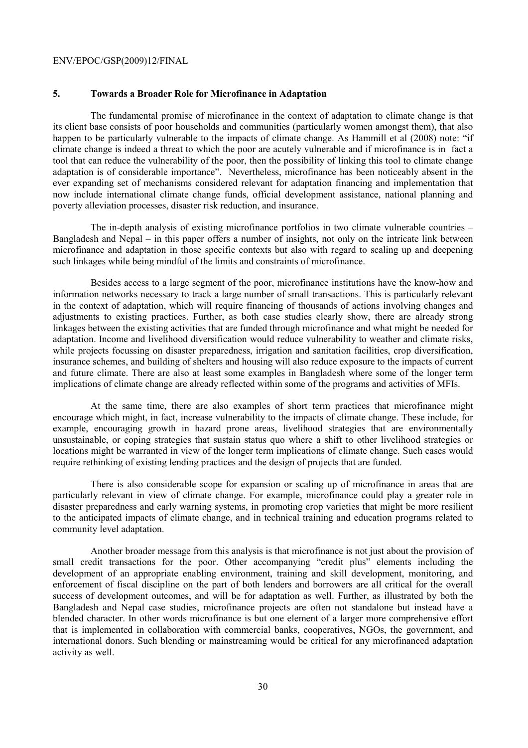## **5. Towards a Broader Role for Microfinance in Adaptation**

The fundamental promise of microfinance in the context of adaptation to climate change is that its client base consists of poor households and communities (particularly women amongst them), that also happen to be particularly vulnerable to the impacts of climate change. As Hammill et al (2008) note: "if climate change is indeed a threat to which the poor are acutely vulnerable and if microfinance is in fact a tool that can reduce the vulnerability of the poor, then the possibility of linking this tool to climate change adaptation is of considerable importance". Nevertheless, microfinance has been noticeably absent in the ever expanding set of mechanisms considered relevant for adaptation financing and implementation that now include international climate change funds, official development assistance, national planning and poverty alleviation processes, disaster risk reduction, and insurance.

The in-depth analysis of existing microfinance portfolios in two climate vulnerable countries – Bangladesh and Nepal – in this paper offers a number of insights, not only on the intricate link between microfinance and adaptation in those specific contexts but also with regard to scaling up and deepening such linkages while being mindful of the limits and constraints of microfinance.

Besides access to a large segment of the poor, microfinance institutions have the know-how and information networks necessary to track a large number of small transactions. This is particularly relevant in the context of adaptation, which will require financing of thousands of actions involving changes and adjustments to existing practices. Further, as both case studies clearly show, there are already strong linkages between the existing activities that are funded through microfinance and what might be needed for adaptation. Income and livelihood diversification would reduce vulnerability to weather and climate risks, while projects focussing on disaster preparedness, irrigation and sanitation facilities, crop diversification, insurance schemes, and building of shelters and housing will also reduce exposure to the impacts of current and future climate. There are also at least some examples in Bangladesh where some of the longer term implications of climate change are already reflected within some of the programs and activities of MFIs.

At the same time, there are also examples of short term practices that microfinance might encourage which might, in fact, increase vulnerability to the impacts of climate change. These include, for example, encouraging growth in hazard prone areas, livelihood strategies that are environmentally unsustainable, or coping strategies that sustain status quo where a shift to other livelihood strategies or locations might be warranted in view of the longer term implications of climate change. Such cases would require rethinking of existing lending practices and the design of projects that are funded.

There is also considerable scope for expansion or scaling up of microfinance in areas that are particularly relevant in view of climate change. For example, microfinance could play a greater role in disaster preparedness and early warning systems, in promoting crop varieties that might be more resilient to the anticipated impacts of climate change, and in technical training and education programs related to community level adaptation.

Another broader message from this analysis is that microfinance is not just about the provision of small credit transactions for the poor. Other accompanying "credit plus" elements including the development of an appropriate enabling environment, training and skill development, monitoring, and enforcement of fiscal discipline on the part of both lenders and borrowers are all critical for the overall success of development outcomes, and will be for adaptation as well. Further, as illustrated by both the Bangladesh and Nepal case studies, microfinance projects are often not standalone but instead have a blended character. In other words microfinance is but one element of a larger more comprehensive effort that is implemented in collaboration with commercial banks, cooperatives, NGOs, the government, and international donors. Such blending or mainstreaming would be critical for any microfinanced adaptation activity as well.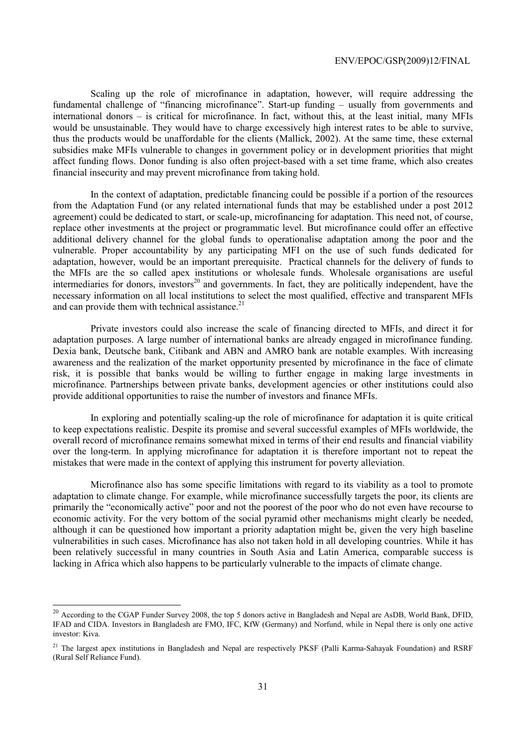Scaling up the role of microfinance in adaptation, however, will require addressing the fundamental challenge of "financing microfinance". Start-up funding – usually from governments and international donors – is critical for microfinance. In fact, without this, at the least initial, many MFIs would be unsustainable. They would have to charge excessively high interest rates to be able to survive, thus the products would be unaffordable for the clients (Mallick, 2002). At the same time, these external subsidies make MFIs vulnerable to changes in government policy or in development priorities that might affect funding flows. Donor funding is also often project-based with a set time frame, which also creates financial insecurity and may prevent microfinance from taking hold.

In the context of adaptation, predictable financing could be possible if a portion of the resources from the Adaptation Fund (or any related international funds that may be established under a post 2012 agreement) could be dedicated to start, or scale-up, microfinancing for adaptation. This need not, of course, replace other investments at the project or programmatic level. But microfinance could offer an effective additional delivery channel for the global funds to operationalise adaptation among the poor and the vulnerable. Proper accountability by any participating MFI on the use of such funds dedicated for adaptation, however, would be an important prerequisite. Practical channels for the delivery of funds to the MFIs are the so called apex institutions or wholesale funds. Wholesale organisations are useful intermediaries for donors, investors<sup>20</sup> and governments. In fact, they are politically independent, have the necessary information on all local institutions to select the most qualified, effective and transparent MFIs and can provide them with technical assistance. $21$ 

Private investors could also increase the scale of financing directed to MFIs, and direct it for adaptation purposes. A large number of international banks are already engaged in microfinance funding. Dexia bank, Deutsche bank, Citibank and ABN and AMRO bank are notable examples. With increasing awareness and the realization of the market opportunity presented by microfinance in the face of climate risk, it is possible that banks would be willing to further engage in making large investments in microfinance. Partnerships between private banks, development agencies or other institutions could also provide additional opportunities to raise the number of investors and finance MFIs.

In exploring and potentially scaling-up the role of microfinance for adaptation it is quite critical to keep expectations realistic. Despite its promise and several successful examples of MFIs worldwide, the overall record of microfinance remains somewhat mixed in terms of their end results and financial viability over the long-term. In applying microfinance for adaptation it is therefore important not to repeat the mistakes that were made in the context of applying this instrument for poverty alleviation.

Microfinance also has some specific limitations with regard to its viability as a tool to promote adaptation to climate change. For example, while microfinance successfully targets the poor, its clients are primarily the "economically active" poor and not the poorest of the poor who do not even have recourse to economic activity. For the very bottom of the social pyramid other mechanisms might clearly be needed, although it can be questioned how important a priority adaptation might be, given the very high baseline vulnerabilities in such cases. Microfinance has also not taken hold in all developing countries. While it has been relatively successful in many countries in South Asia and Latin America, comparable success is lacking in Africa which also happens to be particularly vulnerable to the impacts of climate change.

 $\overline{a}$ 

 $^{20}$  According to the CGAP Funder Survey 2008, the top 5 donors active in Bangladesh and Nepal are AsDB, World Bank, DFID, IFAD and CIDA. Investors in Bangladesh are FMO, IFC, KfW (Germany) and Norfund, while in Nepal there is only one active investor: Kiva.

<sup>&</sup>lt;sup>21</sup> The largest apex institutions in Bangladesh and Nepal are respectively PKSF (Palli Karma-Sahayak Foundation) and RSRF (Rural Self Reliance Fund).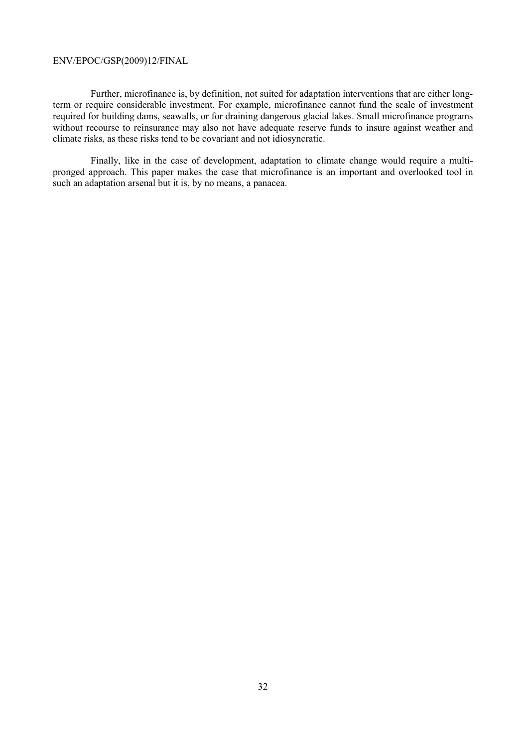Further, microfinance is, by definition, not suited for adaptation interventions that are either longterm or require considerable investment. For example, microfinance cannot fund the scale of investment required for building dams, seawalls, or for draining dangerous glacial lakes. Small microfinance programs without recourse to reinsurance may also not have adequate reserve funds to insure against weather and climate risks, as these risks tend to be covariant and not idiosyncratic.

Finally, like in the case of development, adaptation to climate change would require a multipronged approach. This paper makes the case that microfinance is an important and overlooked tool in such an adaptation arsenal but it is, by no means, a panacea.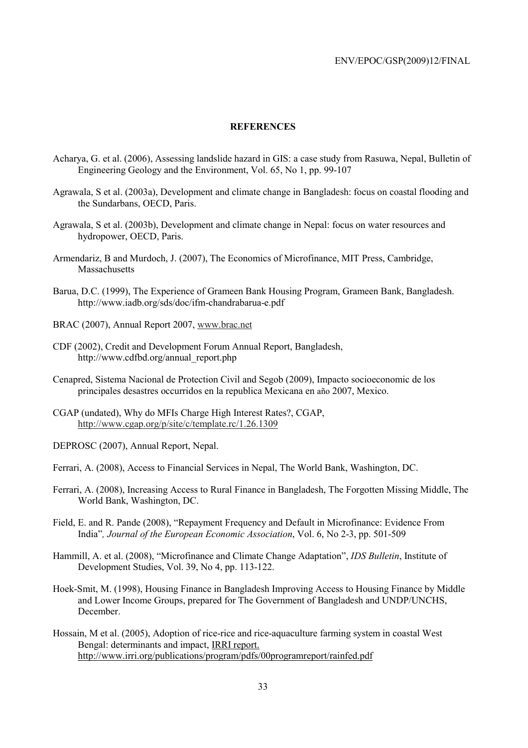#### **REFERENCES**

- Acharya, G. et al. (2006), Assessing landslide hazard in GIS: a case study from Rasuwa, Nepal, Bulletin of Engineering Geology and the Environment, Vol. 65, No 1, pp. 99-107
- Agrawala, S et al. (2003a), Development and climate change in Bangladesh: focus on coastal flooding and the Sundarbans, OECD, Paris.
- Agrawala, S et al. (2003b), Development and climate change in Nepal: focus on water resources and hydropower, OECD, Paris.
- Armendariz, B and Murdoch, J. (2007), The Economics of Microfinance, MIT Press, Cambridge, Massachusetts
- Barua, D.C. (1999), The Experience of Grameen Bank Housing Program, Grameen Bank, Bangladesh. http://www.iadb.org/sds/doc/ifm-chandrabarua-e.pdf
- BRAC (2007), Annual Report 2007, www.brac.net
- CDF (2002), Credit and Development Forum Annual Report, Bangladesh, http://www.cdfbd.org/annual\_report.php
- Cenapred, Sistema Nacional de Protection Civil and Segob (2009), Impacto socioeconomic de los principales desastres occurridos en la republica Mexicana en año 2007, Mexico.
- CGAP (undated), Why do MFIs Charge High Interest Rates?, CGAP, http://www.cgap.org/p/site/c/template.rc/1.26.1309
- DEPROSC (2007), Annual Report, Nepal.
- Ferrari, A. (2008), Access to Financial Services in Nepal, The World Bank, Washington, DC.
- Ferrari, A. (2008), Increasing Access to Rural Finance in Bangladesh, The Forgotten Missing Middle, The World Bank, Washington, DC.
- Field, E. and R. Pande (2008), "Repayment Frequency and Default in Microfinance: Evidence From India"*, Journal of the European Economic Association*, Vol. 6, No 2-3, pp. 501-509
- Hammill, A. et al. (2008), "Microfinance and Climate Change Adaptation", *IDS Bulletin*, Institute of Development Studies, Vol. 39, No 4, pp. 113-122.
- Hoek-Smit, M. (1998), Housing Finance in Bangladesh Improving Access to Housing Finance by Middle and Lower Income Groups, prepared for The Government of Bangladesh and UNDP/UNCHS, December.
- Hossain, M et al. (2005), Adoption of rice-rice and rice-aquaculture farming system in coastal West Bengal: determinants and impact, IRRI report. http://www.irri.org/publications/program/pdfs/00programreport/rainfed.pdf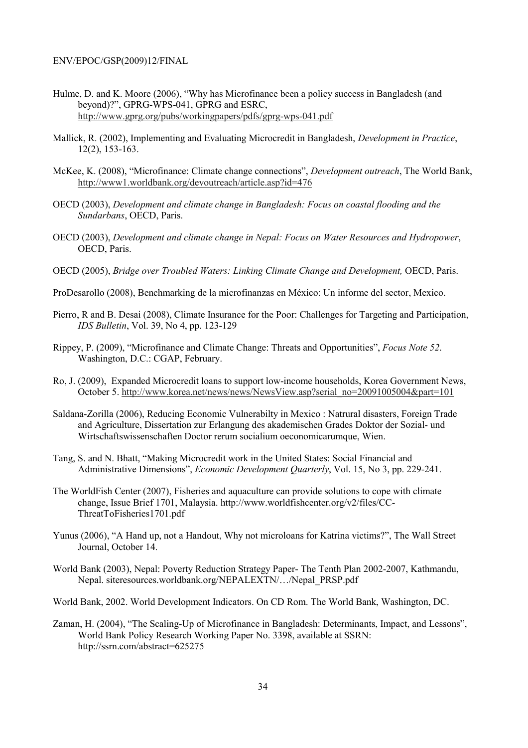- Hulme, D. and K. Moore (2006), "Why has Microfinance been a policy success in Bangladesh (and beyond)?", GPRG-WPS-041, GPRG and ESRC, http://www.gprg.org/pubs/workingpapers/pdfs/gprg-wps-041.pdf
- Mallick, R. (2002), Implementing and Evaluating Microcredit in Bangladesh, *Development in Practice*, 12(2), 153-163.
- McKee, K. (2008), "Microfinance: Climate change connections", *Development outreach*, The World Bank, http://www1.worldbank.org/devoutreach/article.asp?id=476
- OECD (2003), *Development and climate change in Bangladesh: Focus on coastal flooding and the Sundarbans*, OECD, Paris.
- OECD (2003), *Development and climate change in Nepal: Focus on Water Resources and Hydropower*, OECD, Paris.
- OECD (2005), *Bridge over Troubled Waters: Linking Climate Change and Development, OECD, Paris.*
- ProDesarollo (2008), Benchmarking de la microfinanzas en México: Un informe del sector, Mexico.
- Pierro, R and B. Desai (2008), Climate Insurance for the Poor: Challenges for Targeting and Participation, *IDS Bulletin*, Vol. 39, No 4, pp. 123-129
- Rippey, P. (2009), "Microfinance and Climate Change: Threats and Opportunities", *Focus Note 52*. Washington, D.C.: CGAP, February.
- Ro, J. (2009), Expanded Microcredit loans to support low-income households, Korea Government News, October 5. http://www.korea.net/news/news/NewsView.asp?serial\_no=20091005004&part=101
- Saldana-Zorilla (2006), Reducing Economic Vulnerabilty in Mexico : Natrural disasters, Foreign Trade and Agriculture, Dissertation zur Erlangung des akademischen Grades Doktor der Sozial- und Wirtschaftswissenschaften Doctor rerum socialium oeconomicarumque, Wien.
- Tang, S. and N. Bhatt, "Making Microcredit work in the United States: Social Financial and Administrative Dimensions", *Economic Development Quarterly*, Vol. 15, No 3, pp. 229-241.
- The WorldFish Center (2007), Fisheries and aquaculture can provide solutions to cope with climate change, Issue Brief 1701, Malaysia. http://www.worldfishcenter.org/v2/files/CC-ThreatToFisheries1701.pdf
- Yunus (2006), "A Hand up, not a Handout, Why not microloans for Katrina victims?", The Wall Street Journal, October 14.
- World Bank (2003), Nepal: Poverty Reduction Strategy Paper- The Tenth Plan 2002-2007, Kathmandu, Nepal. siteresources.worldbank.org/NEPALEXTN/…/Nepal\_PRSP.pdf
- World Bank, 2002. World Development Indicators. On CD Rom. The World Bank, Washington, DC.
- Zaman, H. (2004), "The Scaling-Up of Microfinance in Bangladesh: Determinants, Impact, and Lessons", World Bank Policy Research Working Paper No. 3398, available at SSRN: http://ssrn.com/abstract=625275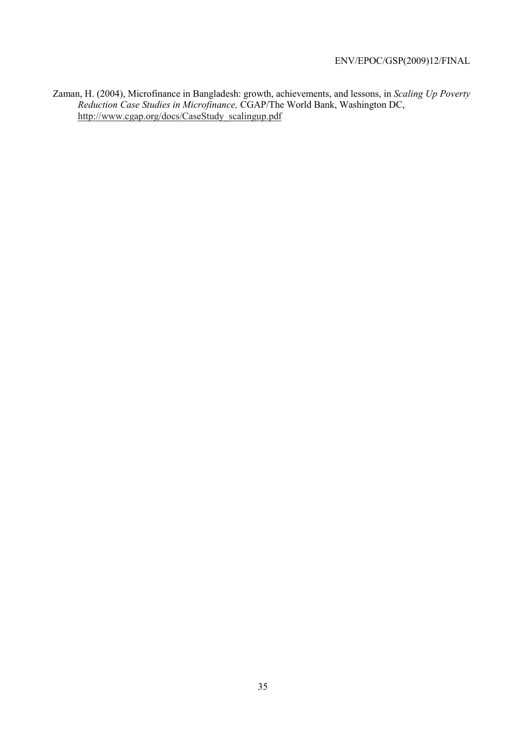Zaman, H. (2004), Microfinance in Bangladesh: growth, achievements, and lessons, in *Scaling Up Poverty Reduction Case Studies in Microfinance,* CGAP/The World Bank, Washington DC, http://www.cgap.org/docs/CaseStudy\_scalingup.pdf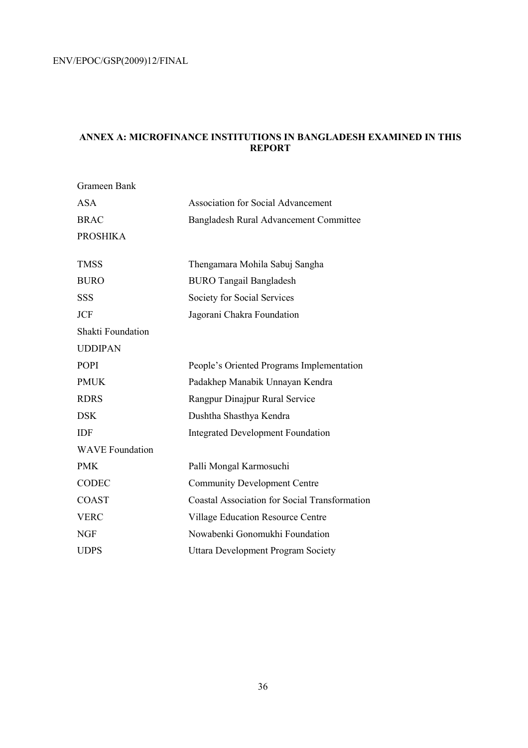# **ANNEX A: MICROFINANCE INSTITUTIONS IN BANGLADESH EXAMINED IN THIS REPORT**

| <b>Grameen Bank</b>      |                                                      |
|--------------------------|------------------------------------------------------|
| <b>ASA</b>               | <b>Association for Social Advancement</b>            |
| <b>BRAC</b>              | Bangladesh Rural Advancement Committee               |
| <b>PROSHIKA</b>          |                                                      |
|                          |                                                      |
| <b>TMSS</b>              | Thengamara Mohila Sabuj Sangha                       |
| <b>BURO</b>              | <b>BURO Tangail Bangladesh</b>                       |
| <b>SSS</b>               | Society for Social Services                          |
| <b>JCF</b>               | Jagorani Chakra Foundation                           |
| <b>Shakti Foundation</b> |                                                      |
| <b>UDDIPAN</b>           |                                                      |
| <b>POPI</b>              | People's Oriented Programs Implementation            |
| <b>PMUK</b>              | Padakhep Manabik Unnayan Kendra                      |
| <b>RDRS</b>              | Rangpur Dinajpur Rural Service                       |
| <b>DSK</b>               | Dushtha Shasthya Kendra                              |
| <b>IDF</b>               | <b>Integrated Development Foundation</b>             |
| <b>WAVE Foundation</b>   |                                                      |
| <b>PMK</b>               | Palli Mongal Karmosuchi                              |
| <b>CODEC</b>             | <b>Community Development Centre</b>                  |
| <b>COAST</b>             | <b>Coastal Association for Social Transformation</b> |
| <b>VERC</b>              | Village Education Resource Centre                    |
| <b>NGF</b>               | Nowabenki Gonomukhi Foundation                       |
| <b>UDPS</b>              | <b>Uttara Development Program Society</b>            |